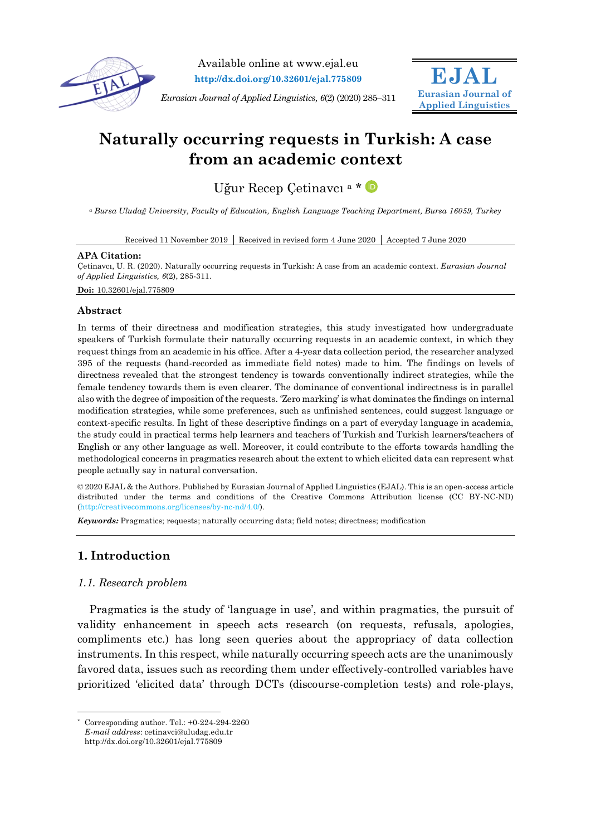

Available online at www.ejal.eu **http://dx.doi.org/10.32601/ejal.775809**

*Eurasian Journal of Applied Linguistics, 6*(2) (2020) 285–311



# **Naturally occurring requests in Turkish: A case from an academic context**

Uğur Recep Çetinavcı<sup>a</sup> \* D

*<sup>a</sup> Bursa Uludağ University, Faculty of Education, English Language Teaching Department, Bursa 16059, Turkey*

Received 11 November 2019 Received in revised form 4 June 2020 Accepted 7 June 2020

#### **APA Citation:**

Çetinavcı, U. R. (2020). Naturally occurring requests in Turkish: A case from an academic context. *Eurasian Journal of Applied Linguistics, 6*(2), 285-311. **Doi:** 10.32601/ejal.775809

### **Abstract**

In terms of their directness and modification strategies, this study investigated how undergraduate speakers of Turkish formulate their naturally occurring requests in an academic context, in which they request things from an academic in his office. After a 4-year data collection period, the researcher analyzed 395 of the requests (hand-recorded as immediate field notes) made to him. The findings on levels of directness revealed that the strongest tendency is towards conventionally indirect strategies, while the female tendency towards them is even clearer. The dominance of conventional indirectness is in parallel also with the degree of imposition of the requests. 'Zero marking' is what dominates the findings on internal modification strategies, while some preferences, such as unfinished sentences, could suggest language or context-specific results. In light of these descriptive findings on a part of everyday language in academia, the study could in practical terms help learners and teachers of Turkish and Turkish learners/teachers of English or any other language as well. Moreover, it could contribute to the efforts towards handling the methodological concerns in pragmatics research about the extent to which elicited data can represent what people actually say in natural conversation.

© 2020 EJAL & the Authors. Published by Eurasian Journal of Applied Linguistics (EJAL). This is an open-access article distributed under the terms and conditions of the Creative Commons Attribution license (CC BY-NC-ND) (http://creativecommons.org/licenses/by-nc-nd/4.0/).

*Keywords:* Pragmatics; requests; naturally occurring data; field notes; directness; modification

# **1. Introduction**

-

## *1.1. Research problem*

Pragmatics is the study of 'language in use', and within pragmatics, the pursuit of validity enhancement in speech acts research (on requests, refusals, apologies, compliments etc.) has long seen queries about the appropriacy of data collection instruments. In this respect, while naturally occurring speech acts are the unanimously favored data, issues such as recording them under effectively-controlled variables have prioritized 'elicited data' through DCTs (discourse-completion tests) and role-plays,

<sup>\*</sup> Corresponding author. Tel.: +0-224-294-2260 *E-mail address*: cetinavci@uludag.edu.tr

http://dx.doi.org/10.32601/ejal.775809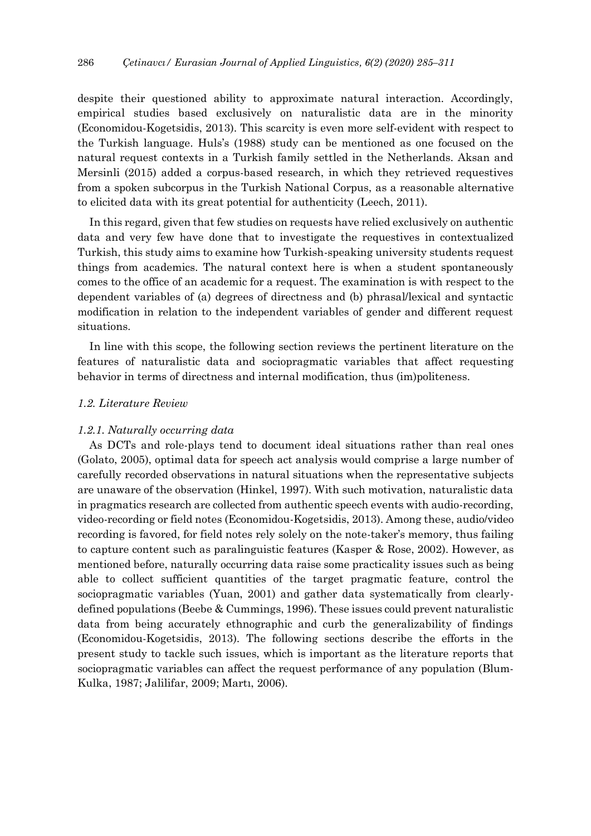despite their questioned ability to approximate natural interaction. Accordingly, empirical studies based exclusively on naturalistic data are in the minority (Economidou-Kogetsidis, 2013). This scarcity is even more self-evident with respect to the Turkish language. Huls's (1988) study can be mentioned as one focused on the natural request contexts in a Turkish family settled in the Netherlands. Aksan and Mersinli (2015) added a corpus-based research, in which they retrieved requestives from a spoken subcorpus in the Turkish National Corpus, as a reasonable alternative to elicited data with its great potential for authenticity (Leech, 2011).

In this regard, given that few studies on requests have relied exclusively on authentic data and very few have done that to investigate the requestives in contextualized Turkish, this study aims to examine how Turkish-speaking university students request things from academics. The natural context here is when a student spontaneously comes to the office of an academic for a request. The examination is with respect to the dependent variables of (a) degrees of directness and (b) phrasal/lexical and syntactic modification in relation to the independent variables of gender and different request situations.

In line with this scope, the following section reviews the pertinent literature on the features of naturalistic data and sociopragmatic variables that affect requesting behavior in terms of directness and internal modification, thus (im)politeness.

### *1.2. Literature Review*

## *1.2.1. Naturally occurring data*

As DCTs and role-plays tend to document ideal situations rather than real ones (Golato, 2005), optimal data for speech act analysis would comprise a large number of carefully recorded observations in natural situations when the representative subjects are unaware of the observation (Hinkel, 1997). With such motivation, naturalistic data in pragmatics research are collected from authentic speech events with audio-recording, video-recording or field notes (Economidou-Kogetsidis, 2013). Among these, audio/video recording is favored, for field notes rely solely on the note-taker's memory, thus failing to capture content such as paralinguistic features (Kasper & Rose, 2002). However, as mentioned before, naturally occurring data raise some practicality issues such as being able to collect sufficient quantities of the target pragmatic feature, control the sociopragmatic variables (Yuan, 2001) and gather data systematically from clearlydefined populations (Beebe & Cummings, 1996). These issues could prevent naturalistic data from being accurately ethnographic and curb the generalizability of findings (Economidou-Kogetsidis, 2013). The following sections describe the efforts in the present study to tackle such issues, which is important as the literature reports that sociopragmatic variables can affect the request performance of any population (Blum-Kulka, 1987; Jalilifar, 2009; Martı, 2006).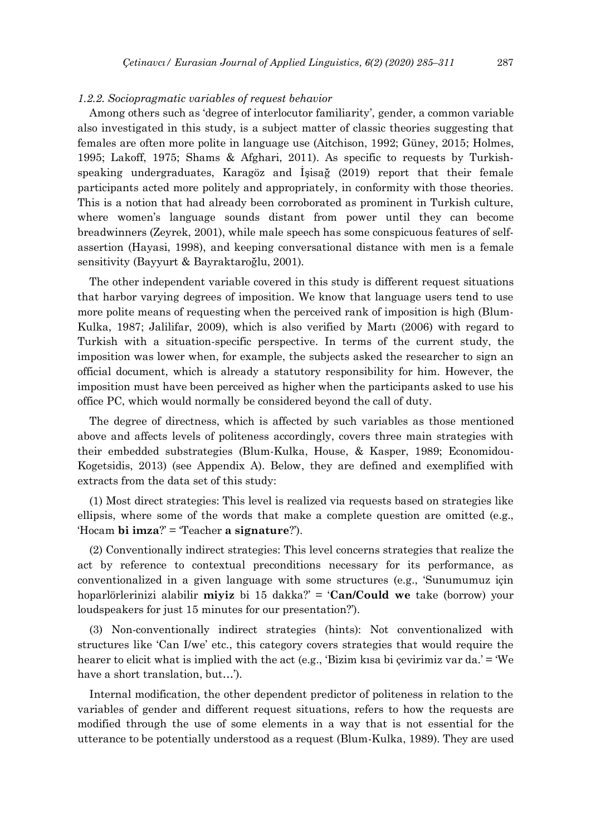#### *1.2.2. Sociopragmatic variables of request behavior*

Among others such as 'degree of interlocutor familiarity', gender, a common variable also investigated in this study, is a subject matter of classic theories suggesting that females are often more polite in language use (Aitchison, 1992; Güney, 2015; Holmes, 1995; Lakoff, 1975; Shams & Afghari, 2011). As specific to requests by Turkishspeaking undergraduates, Karagöz and İşisağ (2019) report that their female participants acted more politely and appropriately, in conformity with those theories. This is a notion that had already been corroborated as prominent in Turkish culture, where women's language sounds distant from power until they can become breadwinners (Zeyrek, 2001), while male speech has some conspicuous features of selfassertion (Hayasi, 1998), and keeping conversational distance with men is a female sensitivity (Bayyurt & Bayraktaroğlu, 2001).

The other independent variable covered in this study is different request situations that harbor varying degrees of imposition. We know that language users tend to use more polite means of requesting when the perceived rank of imposition is high (Blum-Kulka, 1987; Jalilifar, 2009), which is also verified by Martı (2006) with regard to Turkish with a situation-specific perspective. In terms of the current study, the imposition was lower when, for example, the subjects asked the researcher to sign an official document, which is already a statutory responsibility for him. However, the imposition must have been perceived as higher when the participants asked to use his office PC, which would normally be considered beyond the call of duty.

The degree of directness, which is affected by such variables as those mentioned above and affects levels of politeness accordingly, covers three main strategies with their embedded substrategies (Blum-Kulka, House, & Kasper, 1989; Economidou-Kogetsidis, 2013) (see Appendix A). Below, they are defined and exemplified with extracts from the data set of this study:

(1) Most direct strategies: This level is realized via requests based on strategies like ellipsis, where some of the words that make a complete question are omitted (e.g., 'Hocam **bi imza**?' = 'Teacher **a signature**?').

(2) Conventionally indirect strategies: This level concerns strategies that realize the act by reference to contextual preconditions necessary for its performance, as conventionalized in a given language with some structures (e.g., 'Sunumumuz için hoparlörlerinizi alabilir **miyiz** bi 15 dakka?' = '**Can/Could we** take (borrow) your loudspeakers for just 15 minutes for our presentation?').

(3) Non-conventionally indirect strategies (hints): Not conventionalized with structures like 'Can I/we' etc., this category covers strategies that would require the hearer to elicit what is implied with the act (e.g., 'Bizim kısa bi çevirimiz var da.' = 'We have a short translation, but…').

Internal modification, the other dependent predictor of politeness in relation to the variables of gender and different request situations, refers to how the requests are modified through the use of some elements in a way that is not essential for the utterance to be potentially understood as a request (Blum-Kulka, 1989). They are used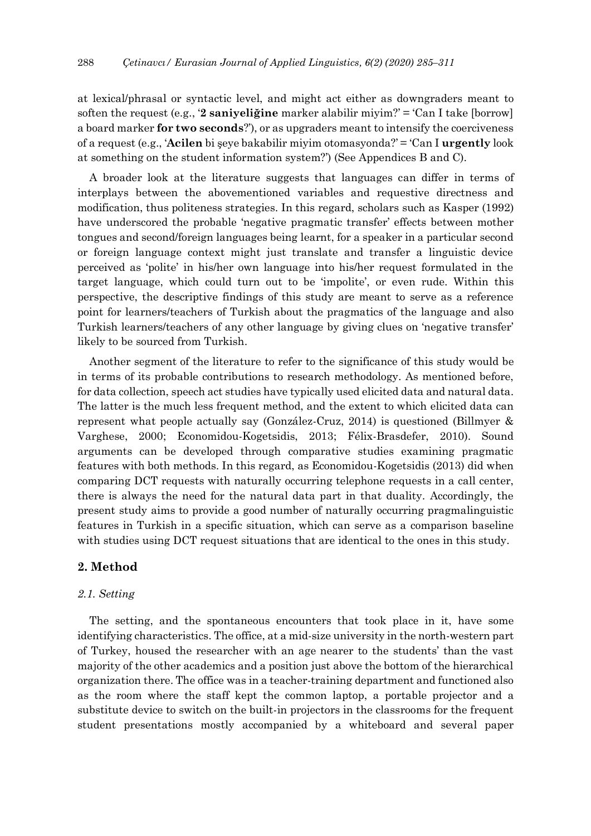at lexical/phrasal or syntactic level, and might act either as downgraders meant to soften the request (e.g., '**2 saniyeliğine** marker alabilir miyim?' = 'Can I take [borrow] a board marker **for two seconds**?'), or as upgraders meant to intensify the coerciveness of a request (e.g., '**Acilen** bi şeye bakabilir miyim otomasyonda?' = 'Can I **urgently** look at something on the student information system?') (See Appendices B and C).

A broader look at the literature suggests that languages can differ in terms of interplays between the abovementioned variables and requestive directness and modification, thus politeness strategies. In this regard, scholars such as Kasper (1992) have underscored the probable 'negative pragmatic transfer' effects between mother tongues and second/foreign languages being learnt, for a speaker in a particular second or foreign language context might just translate and transfer a linguistic device perceived as 'polite' in his/her own language into his/her request formulated in the target language, which could turn out to be 'impolite', or even rude. Within this perspective, the descriptive findings of this study are meant to serve as a reference point for learners/teachers of Turkish about the pragmatics of the language and also Turkish learners/teachers of any other language by giving clues on 'negative transfer' likely to be sourced from Turkish.

Another segment of the literature to refer to the significance of this study would be in terms of its probable contributions to research methodology. As mentioned before, for data collection, speech act studies have typically used elicited data and natural data. The latter is the much less frequent method, and the extent to which elicited data can represent what people actually say (González-Cruz, 2014) is questioned (Billmyer & Varghese, 2000; Economidou-Kogetsidis, 2013; Félix-Brasdefer, 2010). Sound arguments can be developed through comparative studies examining pragmatic features with both methods. In this regard, as Economidou-Kogetsidis (2013) did when comparing DCT requests with naturally occurring telephone requests in a call center, there is always the need for the natural data part in that duality. Accordingly, the present study aims to provide a good number of naturally occurring pragmalinguistic features in Turkish in a specific situation, which can serve as a comparison baseline with studies using DCT request situations that are identical to the ones in this study.

## **2. Method**

### *2.1. Setting*

The setting, and the spontaneous encounters that took place in it, have some identifying characteristics. The office, at a mid-size university in the north-western part of Turkey, housed the researcher with an age nearer to the students' than the vast majority of the other academics and a position just above the bottom of the hierarchical organization there. The office was in a teacher-training department and functioned also as the room where the staff kept the common laptop, a portable projector and a substitute device to switch on the built-in projectors in the classrooms for the frequent student presentations mostly accompanied by a whiteboard and several paper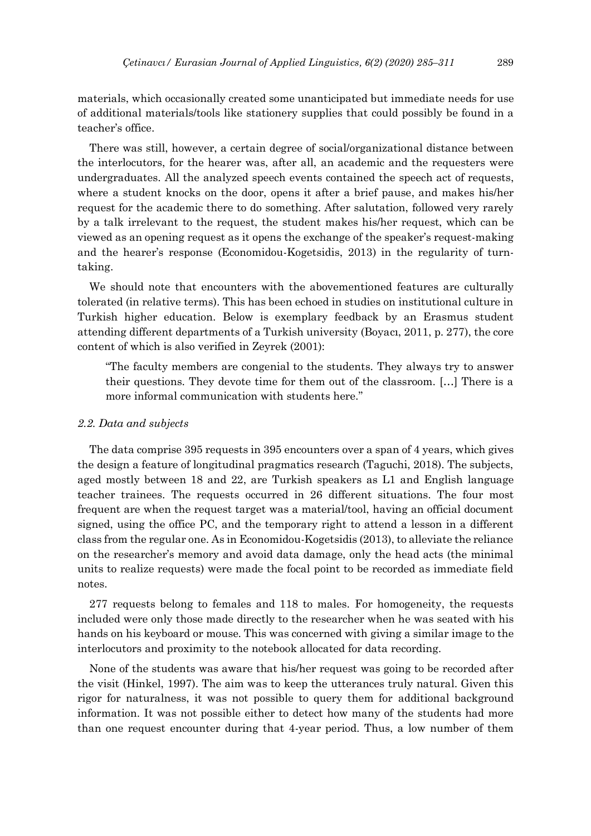materials, which occasionally created some unanticipated but immediate needs for use of additional materials/tools like stationery supplies that could possibly be found in a teacher's office.

There was still, however, a certain degree of social/organizational distance between the interlocutors, for the hearer was, after all, an academic and the requesters were undergraduates. All the analyzed speech events contained the speech act of requests, where a student knocks on the door, opens it after a brief pause, and makes his/her request for the academic there to do something. After salutation, followed very rarely by a talk irrelevant to the request, the student makes his/her request, which can be viewed as an opening request as it opens the exchange of the speaker's request-making and the hearer's response (Economidou-Kogetsidis, 2013) in the regularity of turntaking.

We should note that encounters with the abovementioned features are culturally tolerated (in relative terms). This has been echoed in studies on institutional culture in Turkish higher education. Below is exemplary feedback by an Erasmus student attending different departments of a Turkish university (Boyacı, 2011, p. 277), the core content of which is also verified in Zeyrek (2001):

"The faculty members are congenial to the students. They always try to answer their questions. They devote time for them out of the classroom. […] There is a more informal communication with students here."

## *2.2. Data and subjects*

The data comprise 395 requests in 395 encounters over a span of 4 years, which gives the design a feature of longitudinal pragmatics research (Taguchi, 2018). The subjects, aged mostly between 18 and 22, are Turkish speakers as L1 and English language teacher trainees. The requests occurred in 26 different situations. The four most frequent are when the request target was a material/tool, having an official document signed, using the office PC, and the temporary right to attend a lesson in a different class from the regular one. As in Economidou-Kogetsidis (2013), to alleviate the reliance on the researcher's memory and avoid data damage, only the head acts (the minimal units to realize requests) were made the focal point to be recorded as immediate field notes.

277 requests belong to females and 118 to males. For homogeneity, the requests included were only those made directly to the researcher when he was seated with his hands on his keyboard or mouse. This was concerned with giving a similar image to the interlocutors and proximity to the notebook allocated for data recording.

None of the students was aware that his/her request was going to be recorded after the visit (Hinkel, 1997). The aim was to keep the utterances truly natural. Given this rigor for naturalness, it was not possible to query them for additional background information. It was not possible either to detect how many of the students had more than one request encounter during that 4-year period. Thus, a low number of them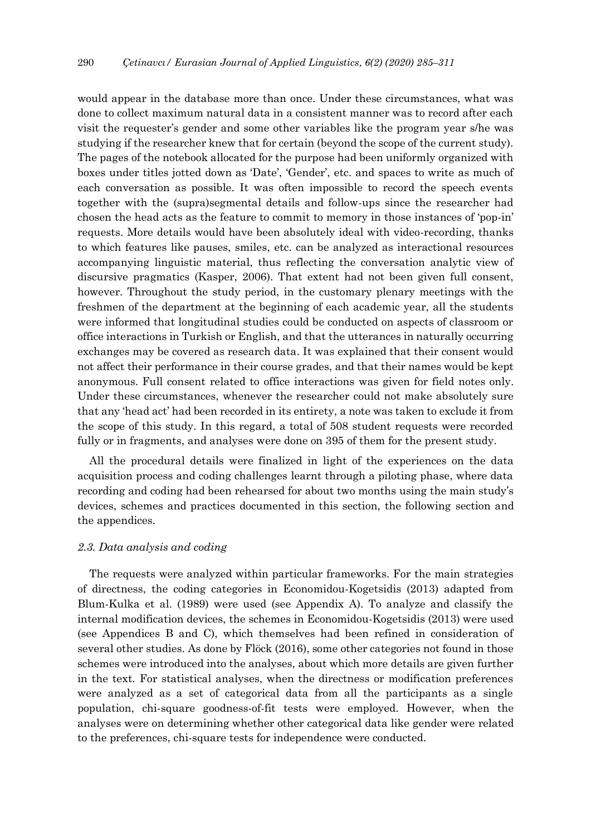would appear in the database more than once. Under these circumstances, what was done to collect maximum natural data in a consistent manner was to record after each visit the requester's gender and some other variables like the program year s/he was studying if the researcher knew that for certain (beyond the scope of the current study). The pages of the notebook allocated for the purpose had been uniformly organized with boxes under titles jotted down as 'Date', 'Gender', etc. and spaces to write as much of each conversation as possible. It was often impossible to record the speech events together with the (supra)segmental details and follow-ups since the researcher had chosen the head acts as the feature to commit to memory in those instances of 'pop-in' requests. More details would have been absolutely ideal with video-recording, thanks to which features like pauses, smiles, etc. can be analyzed as interactional resources accompanying linguistic material, thus reflecting the conversation analytic view of discursive pragmatics (Kasper, 2006). That extent had not been given full consent, however. Throughout the study period, in the customary plenary meetings with the freshmen of the department at the beginning of each academic year, all the students were informed that longitudinal studies could be conducted on aspects of classroom or office interactions in Turkish or English, and that the utterances in naturally occurring exchanges may be covered as research data. It was explained that their consent would not affect their performance in their course grades, and that their names would be kept anonymous. Full consent related to office interactions was given for field notes only. Under these circumstances, whenever the researcher could not make absolutely sure that any 'head act' had been recorded in its entirety, a note was taken to exclude it from the scope of this study. In this regard, a total of 508 student requests were recorded fully or in fragments, and analyses were done on 395 of them for the present study.

All the procedural details were finalized in light of the experiences on the data acquisition process and coding challenges learnt through a piloting phase, where data recording and coding had been rehearsed for about two months using the main study's devices, schemes and practices documented in this section, the following section and the appendices.

## *2.3. Data analysis and coding*

The requests were analyzed within particular frameworks. For the main strategies of directness, the coding categories in Economidou-Kogetsidis (2013) adapted from Blum-Kulka et al. (1989) were used (see Appendix A). To analyze and classify the internal modification devices, the schemes in Economidou-Kogetsidis (2013) were used (see Appendices B and C), which themselves had been refined in consideration of several other studies. As done by Flöck (2016), some other categories not found in those schemes were introduced into the analyses, about which more details are given further in the text. For statistical analyses, when the directness or modification preferences were analyzed as a set of categorical data from all the participants as a single population, chi-square goodness-of-fit tests were employed. However, when the analyses were on determining whether other categorical data like gender were related to the preferences, chi-square tests for independence were conducted.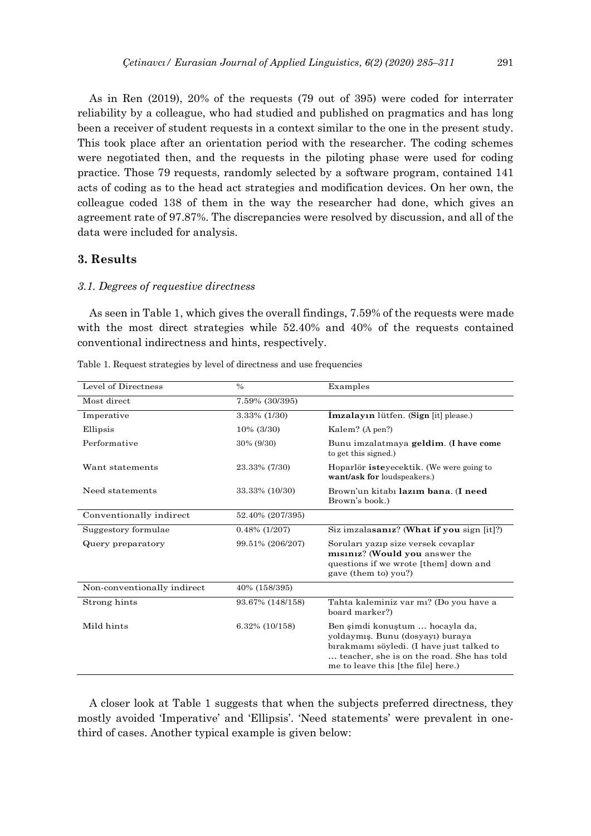As in Ren (2019), 20% of the requests (79 out of 395) were coded for interrater reliability by a colleague, who had studied and published on pragmatics and has long been a receiver of student requests in a context similar to the one in the present study. This took place after an orientation period with the researcher. The coding schemes were negotiated then, and the requests in the piloting phase were used for coding practice. Those 79 requests, randomly selected by a software program, contained 141 acts of coding as to the head act strategies and modification devices. On her own, the colleague coded 138 of them in the way the researcher had done, which gives an agreement rate of 97.87%. The discrepancies were resolved by discussion, and all of the data were included for analysis.

## **3. Results**

#### *3.1. Degrees of requestive directness*

As seen in Table 1, which gives the overall findings, 7.59% of the requests were made with the most direct strategies while 52.40% and 40% of the requests contained conventional indirectness and hints, respectively.

| Level of Directness         | $\%$             | Examples                                                                                                                                                                                            |
|-----------------------------|------------------|-----------------------------------------------------------------------------------------------------------------------------------------------------------------------------------------------------|
| Most direct                 | 7.59% (30/395)   |                                                                                                                                                                                                     |
| Imperative                  | 3.33% (1/30)     | İmzalayın lütfen. (Sign [it] please.)                                                                                                                                                               |
| Ellipsis                    | 10% (3/30)       | Kalem? (A pen?)                                                                                                                                                                                     |
| Performative                | 30% (9/30)       | Bunu imzalatmaya geldim. (I have come<br>to get this signed.)                                                                                                                                       |
| Want statements             | 23.33% (7/30)    | Hoparlör isteyecektik. (We were going to<br>want/ask for loudspeakers.)                                                                                                                             |
| Need statements             | 33.33% (10/30)   | Brown'un kitabi lazim bana. (I need<br>Brown's book.)                                                                                                                                               |
| Conventionally indirect     | 52.40% (207/395) |                                                                                                                                                                                                     |
| Suggestory formulae         | $0.48\%$ (1/207) | Siz imzalasanız? (What if you sign [it]?)                                                                                                                                                           |
| Query preparatory           | 99.51% (206/207) | Soruları yazıp size versek cevaplar<br>misiniz? (Would you answer the<br>questions if we wrote [them] down and<br>gave (them to) you?)                                                              |
| Non-conventionally indirect | 40% (158/395)    |                                                                                                                                                                                                     |
| Strong hints                | 93.67% (148/158) | Tahta kaleminiz var mi? (Do you have a<br>board marker?)                                                                                                                                            |
| Mild hints                  | 6.32% (10/158)   | Ben simdi konustum  hocayla da,<br>yoldaymış. Bunu (dosyayı) buraya<br>birakmami söyledi. (I have just talked to<br>teacher, she is on the road. She has told<br>me to leave this [the file] here.) |

Table 1. Request strategies by level of directness and use frequencies

A closer look at Table 1 suggests that when the subjects preferred directness, they mostly avoided 'Imperative' and 'Ellipsis'. 'Need statements' were prevalent in onethird of cases. Another typical example is given below: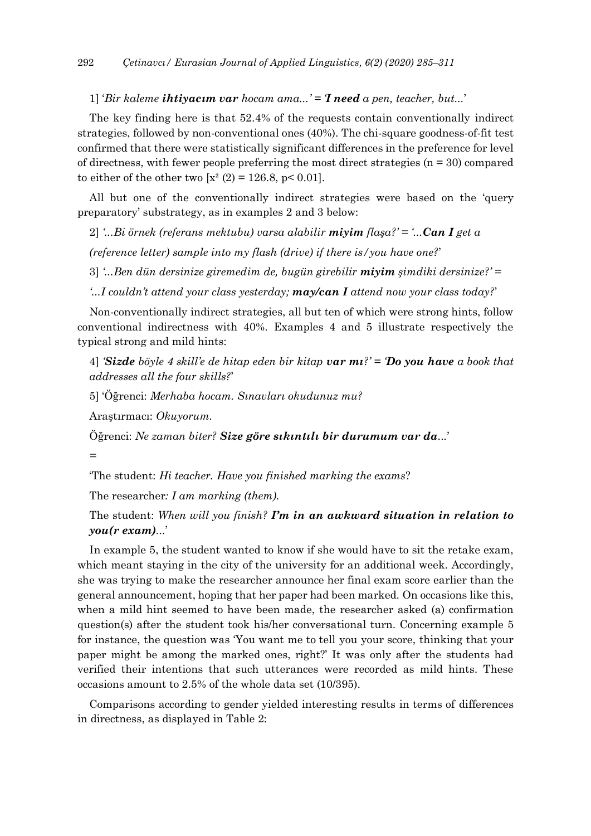1] '*Bir kaleme ihtiyacım var hocam ama...' = 'I need a pen, teacher, but...*'

The key finding here is that 52.4% of the requests contain conventionally indirect strategies, followed by non-conventional ones (40%). The chi-square goodness-of-fit test confirmed that there were statistically significant differences in the preference for level of directness, with fewer people preferring the most direct strategies  $(n = 30)$  compared to either of the other two  $[x^2 (2) = 126.8, p < 0.01]$ .

All but one of the conventionally indirect strategies were based on the 'query preparatory' substrategy, as in examples 2 and 3 below:

2] *'...Bi örnek (referans mektubu) varsa alabilir miyim flaşa?' = '...Can I get a*

*(reference letter) sample into my flash (drive) if there is/you have one?*'

3] *'...Ben dün dersinize giremedim de, bugün girebilir miyim şimdiki dersinize?' =*

*'...I couldn't attend your class yesterday; may/can I attend now your class today?*'

Non-conventionally indirect strategies, all but ten of which were strong hints, follow conventional indirectness with 40%. Examples 4 and 5 illustrate respectively the typical strong and mild hints:

4] *'Sizde böyle 4 skill'e de hitap eden bir kitap var mı?' = 'Do you have a book that addresses all the four skills?*'

5] 'Öğrenci: *Merhaba hocam. Sınavları okudunuz mu?*

Araştırmacı: *Okuyorum.*

Öğrenci: *Ne zaman biter? Size göre sıkıntılı bir durumum var da...*'

*=*

'The student: *Hi teacher. Have you finished marking the exams*?

The researcher*: I am marking (them).*

The student: *When will you finish? I'm in an awkward situation in relation to you(r exam)...*'

In example 5, the student wanted to know if she would have to sit the retake exam, which meant staying in the city of the university for an additional week. Accordingly, she was trying to make the researcher announce her final exam score earlier than the general announcement, hoping that her paper had been marked. On occasions like this, when a mild hint seemed to have been made, the researcher asked (a) confirmation question(s) after the student took his/her conversational turn. Concerning example 5 for instance, the question was 'You want me to tell you your score, thinking that your paper might be among the marked ones, right?' It was only after the students had verified their intentions that such utterances were recorded as mild hints. These occasions amount to 2.5% of the whole data set (10/395).

Comparisons according to gender yielded interesting results in terms of differences in directness, as displayed in Table 2: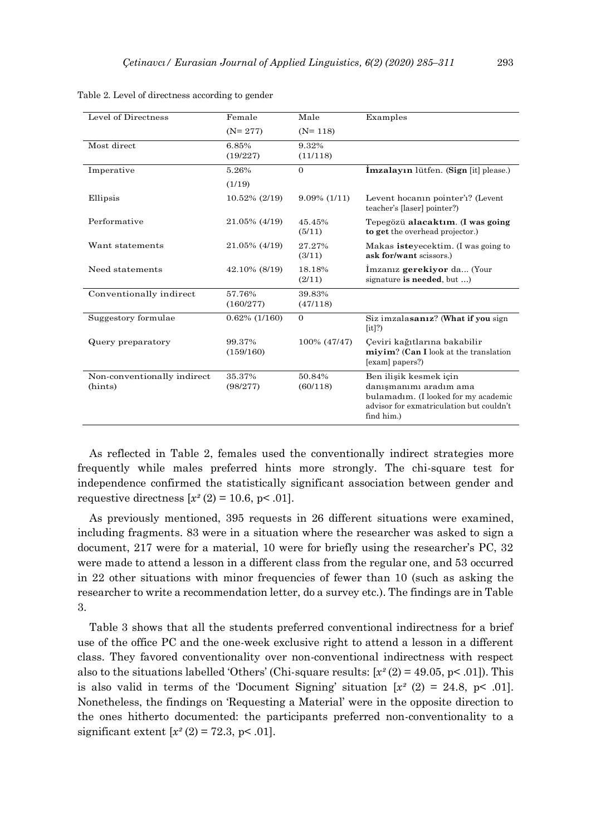| Level of Directness                    | Female              | Male               | Examples                                                                                                                                           |
|----------------------------------------|---------------------|--------------------|----------------------------------------------------------------------------------------------------------------------------------------------------|
|                                        |                     |                    |                                                                                                                                                    |
|                                        | $(N=277)$           | $(N=118)$          |                                                                                                                                                    |
| Most direct                            | 6.85%               | 9.32%              |                                                                                                                                                    |
|                                        | (19/227)            | (11/118)           |                                                                                                                                                    |
| Imperative                             | 5.26%               | $\Omega$           | <b>İmzalayın</b> lütfen. (Sign [it] please.)                                                                                                       |
|                                        | (1/19)              |                    |                                                                                                                                                    |
| Ellipsis                               | 10.52% (2/19)       | $9.09\%$ (1/11)    | Levent hocanin pointer'i? (Levent<br>teacher's [laser] pointer?)                                                                                   |
| Performative                           | 21.05% (4/19)       | 45.45%<br>(5/11)   | Tepegözü alacaktım. (I was going<br>to get the overhead projector.)                                                                                |
| Want statements                        | 21.05% (4/19)       | 27.27%<br>(3/11)   | Makas isteyecektim. (I was going to<br>ask for/want scissors.)                                                                                     |
| Need statements                        | 42.10% (8/19)       | 18.18%<br>(2/11)   | Imzaniz gerekiyor da (Your<br>signature is needed, but )                                                                                           |
| Conventionally indirect                | 57.76%<br>(160/277) | 39.83%<br>(47/118) |                                                                                                                                                    |
| Suggestory formulae                    | $0.62\%$ (1/160)    | $\Omega$           | Siz imzalasanız? (What if you sign<br>$[it]$ ?                                                                                                     |
| Query preparatory                      | 99.37%<br>(159/160) | 100% (47/47)       | Çeviri kağıtlarına bakabilir<br>miyim? (Can I look at the translation<br>[exam] papers?)                                                           |
| Non-conventionally indirect<br>(hints) | 35.37%<br>(98/277)  | 50.84%<br>(60/118) | Ben ilişik kesmek için<br>danışmanımı aradım ama<br>bulamadim. (I looked for my academic<br>advisor for exmatriculation but couldn't<br>find him.) |

Table 2. Level of directness according to gender

As reflected in Table 2, females used the conventionally indirect strategies more frequently while males preferred hints more strongly. The chi-square test for independence confirmed the statistically significant association between gender and requestive directness  $[x^{2}(2) = 10.6, p < .01]$ .

As previously mentioned, 395 requests in 26 different situations were examined, including fragments. 83 were in a situation where the researcher was asked to sign a document, 217 were for a material, 10 were for briefly using the researcher's PC, 32 were made to attend a lesson in a different class from the regular one, and 53 occurred in 22 other situations with minor frequencies of fewer than 10 (such as asking the researcher to write a recommendation letter, do a survey etc.). The findings are in Table 3.

Table 3 shows that all the students preferred conventional indirectness for a brief use of the office PC and the one-week exclusive right to attend a lesson in a different class. They favored conventionality over non-conventional indirectness with respect also to the situations labelled 'Others' (Chi-square results: [*x²* (2) = 49.05, p< .01]). This is also valid in terms of the 'Document Signing' situation  $[x^2 (2) = 24.8, p < .01]$ . Nonetheless, the findings on 'Requesting a Material' were in the opposite direction to the ones hitherto documented: the participants preferred non-conventionality to a significant extent  $[x^2 (2) = 72.3, p < .01]$ .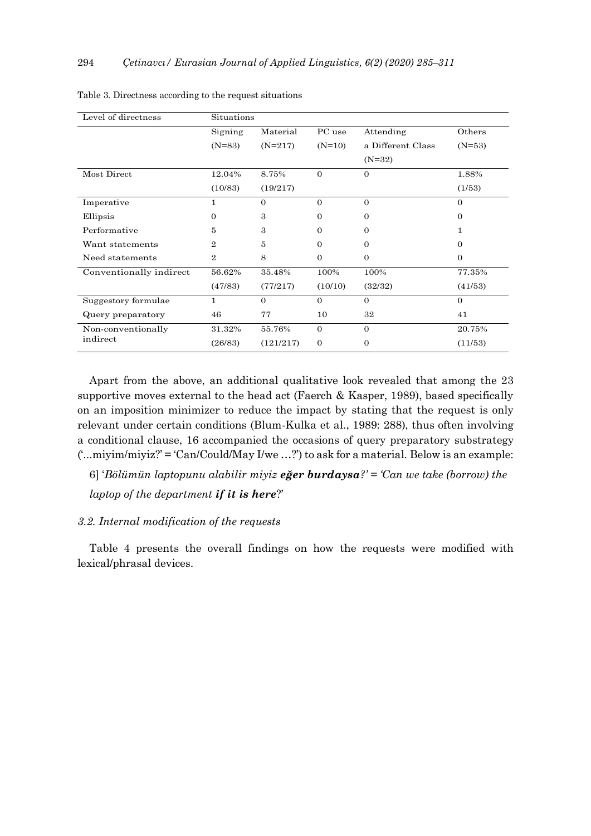| Level of directness     | Situations     |              |              |                   |          |
|-------------------------|----------------|--------------|--------------|-------------------|----------|
|                         | Signing        | Material     | PC use       | Attending         | Others   |
|                         | $(N=83)$       | $(N=217)$    | $(N=10)$     | a Different Class | $(N=53)$ |
|                         |                |              |              | $(N=32)$          |          |
| Most Direct             | 12.04%         | 8.75%        | $\Omega$     | $\theta$          | 1.88%    |
|                         | (10/83)        | (19/217)     |              |                   | (1/53)   |
| Imperative              | 1              | $\mathbf{0}$ | $\Omega$     | $\overline{0}$    | $\Omega$ |
| Ellipsis                | $\Omega$       | 3            | $\mathbf{0}$ | $\theta$          | $\theta$ |
| Performative            | 5              | 3            | $\mathbf{0}$ | 0                 | 1        |
| Want statements         | $\overline{2}$ | 5            | $\Omega$     | $\Omega$          | $\Omega$ |
| Need statements         | $\overline{2}$ | 8            | $\mathbf{0}$ | $\theta$          | $\Omega$ |
| Conventionally indirect | 56.62%         | 35.48%       | 100%         | 100%              | 77.35%   |
|                         | (47/83)        | (77/217)     | (10/10)      | (32/32)           | (41/53)  |
| Suggestory formulae     | 1              | $\Omega$     | $\Omega$     | $\Omega$          | $\Omega$ |
| Query preparatory       | 46             | 77           | 10           | 32                | 41       |
| Non-conventionally      | 31.32%         | 55.76%       | $\mathbf{0}$ | $\Omega$          | 20.75%   |
| indirect                | (26/83)        | (121/217)    | $\mathbf{0}$ | $\theta$          | (11/53)  |

| Table 3. Directness according to the request situations |  |  |  |
|---------------------------------------------------------|--|--|--|
|---------------------------------------------------------|--|--|--|

Apart from the above, an additional qualitative look revealed that among the 23 supportive moves external to the head act (Faerch & Kasper, 1989), based specifically on an imposition minimizer to reduce the impact by stating that the request is only relevant under certain conditions (Blum-Kulka et al., 1989: 288), thus often involving a conditional clause, 16 accompanied the occasions of query preparatory substrategy ('...miyim/miyiz?' = 'Can/Could/May I/we …?') to ask for a material. Below is an example:

6] '*Bölümün laptopunu alabilir miyiz eğer burdaysa?' = 'Can we take (borrow) the laptop of the department if it is here*?'

## *3.2. Internal modification of the requests*

Table 4 presents the overall findings on how the requests were modified with lexical/phrasal devices.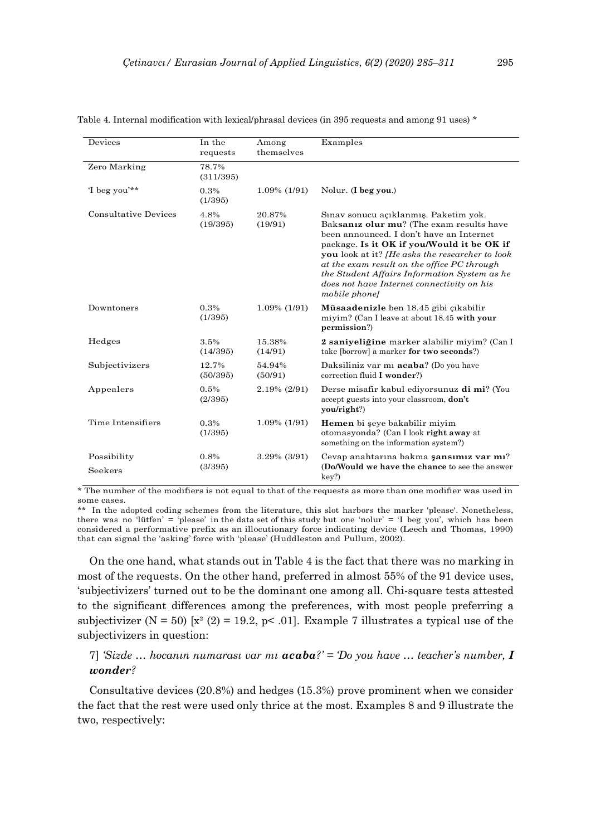| Devices                     | In the<br>requests | Among<br>themselves | Examples                                                                                                                                                                                                                                                                                                                                                                                           |
|-----------------------------|--------------------|---------------------|----------------------------------------------------------------------------------------------------------------------------------------------------------------------------------------------------------------------------------------------------------------------------------------------------------------------------------------------------------------------------------------------------|
| Zero Marking                | 78.7%<br>(311/395) |                     |                                                                                                                                                                                                                                                                                                                                                                                                    |
| 'I beg you'**               | 0.3%<br>(1/395)    | $1.09\%$ (1/91)     | Nolur. (I beg you.)                                                                                                                                                                                                                                                                                                                                                                                |
| <b>Consultative Devices</b> | 4.8%<br>(19/395)   | 20.87%<br>(19/91)   | Sinav sonucu açıklanmış. Paketim yok.<br>Baksaniz olur mu? (The exam results have<br>been announced. I don't have an Internet<br>package. Is it OK if you/Would it be OK if<br>you look at it? <i>He asks the researcher to look</i><br>at the exam result on the office PC through<br>the Student Affairs Information System as he<br>does not have Internet connectivity on his<br>mobile phonel |
| Downtoners                  | 0.3%<br>(1/395)    | $1.09\%$ (1/91)     | Müsaadenizle ben 18.45 gibi çıkabilir<br>miyim? (Can I leave at about 18.45 with your<br>permission?)                                                                                                                                                                                                                                                                                              |
| Hedges                      | 3.5%<br>(14/395)   | 15.38%<br>(14/91)   | 2 saniyeliğine marker alabilir miyim? (Can I<br>take [borrow] a marker for two seconds?)                                                                                                                                                                                                                                                                                                           |
| Subjectivizers              | 12.7%<br>(50/395)  | 54.94%<br>(50/91)   | Daksiliniz var mi <b>acaba</b> ? (Do you have<br>correction fluid I wonder?)                                                                                                                                                                                                                                                                                                                       |
| Appealers                   | 0.5%<br>(2/395)    | 2.19% (2/91)        | Derse misafir kabul ediyorsunuz di mi? (You<br>accept guests into your classroom, don't<br>you/right?)                                                                                                                                                                                                                                                                                             |
| Time Intensifiers           | 0.3%<br>(1/395)    | $1.09\%$ (1/91)     | Hemen bi şeye bakabilir miyim<br>otomasyonda? (Can I look right away at<br>something on the information system?)                                                                                                                                                                                                                                                                                   |
| Possibility<br>Seekers      | 0.8%<br>(3/395)    | $3.29\%$ (3/91)     | Cevap anahtarına bakma şansımız var mı?<br>(Do/Would we have the chance to see the answer<br>key?)                                                                                                                                                                                                                                                                                                 |

Table 4. Internal modification with lexical/phrasal devices (in 395 requests and among 91 uses) \*

\* The number of the modifiers is not equal to that of the requests as more than one modifier was used in some cases.

\*\* In the adopted coding schemes from the literature, this slot harbors the marker 'please'. Nonetheless, there was no 'lütfen' = 'please' in the data set of this study but one 'nolur' = 'I beg you', which has been considered a performative prefix as an illocutionary force indicating device (Leech and Thomas, 1990) that can signal the 'asking' force with 'please' (Huddleston and Pullum, 2002).

On the one hand, what stands out in Table 4 is the fact that there was no marking in most of the requests. On the other hand, preferred in almost 55% of the 91 device uses, 'subjectivizers' turned out to be the dominant one among all. Chi-square tests attested to the significant differences among the preferences, with most people preferring a subjectivizer (N = 50) [x<sup>2</sup> (2) = 19.2, p< .01]. Example 7 illustrates a typical use of the subjectivizers in question:

## 7] *'Sizde … hocanın numarası var mı acaba?' = 'Do you have … teacher's number, I wonder?*

Consultative devices (20.8%) and hedges (15.3%) prove prominent when we consider the fact that the rest were used only thrice at the most. Examples 8 and 9 illustrate the two, respectively: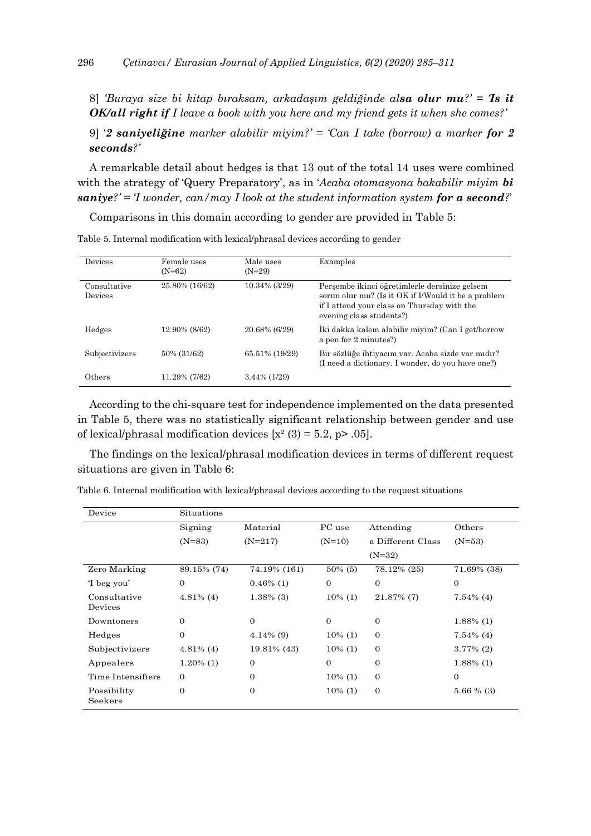8] *'Buraya size bi kitap bıraksam, arkadaşım geldiğinde alsa olur mu?' = 'Is it OK/all right if I leave a book with you here and my friend gets it when she comes?'*

9] '*2 saniyeliğine marker alabilir miyim?' = 'Can I take (borrow) a marker for 2 seconds?'*

A remarkable detail about hedges is that 13 out of the total 14 uses were combined with the strategy of 'Query Preparatory', as in '*Acaba otomasyona bakabilir miyim bi saniye?' = 'I wonder, can/may I look at the student information system for a second?*'

Comparisons in this domain according to gender are provided in Table 5:

| Devices                        | Female uses<br>$(N=62)$ | Male uses<br>$(N=29)$ | Examples                                                                                                                                                                        |
|--------------------------------|-------------------------|-----------------------|---------------------------------------------------------------------------------------------------------------------------------------------------------------------------------|
| Consultative<br><b>Devices</b> | 25.80% (16/62)          | 10.34% (3/29)         | Perşembe ikinci öğretimlerle dersinize gelsem<br>sorun olur mu? (Is it OK if I/Would it be a problem<br>if I attend your class on Thursday with the<br>evening class students?) |
| Hedges                         | 12.90% (8/62)           | 20.68% (6/29)         | Iki dakka kalem alabilir miyim? (Can I get/borrow<br>a pen for 2 minutes?)                                                                                                      |
| Subjectivizers                 | 50% (31/62)             | 65.51% (19/29)        | Bir sözlüğe ihtiyacım var. Acaba sizde var mıdır?<br>(I need a dictionary. I wonder, do you have one?)                                                                          |
| Others                         | 11.29% (7/62)           | $3.44\%$ (1/29)       |                                                                                                                                                                                 |

Table 5. Internal modification with lexical/phrasal devices according to gender

According to the chi-square test for independence implemented on the data presented in Table 5, there was no statistically significant relationship between gender and use of lexical/phrasal modification devices  $[x^2(3) = 5.2, p > .05]$ .

The findings on the lexical/phrasal modification devices in terms of different request situations are given in Table 6:

| Device                  | Situations     |                |            |                   |              |
|-------------------------|----------------|----------------|------------|-------------------|--------------|
|                         | Signing        | Material       | PC use     | Attending         | Others       |
|                         | $(N=83)$       | $(N=217)$      | $(N=10)$   | a Different Class | $(N=53)$     |
|                         |                |                |            | $(N=32)$          |              |
| Zero Marking            | 89.15% (74)    | 74.19% (161)   | $50\%$ (5) | 78.12% (25)       | 71.69% (38)  |
| 'I beg you'             | 0              | $0.46\%$ (1)   | $\theta$   | $\theta$          | $\mathbf{0}$ |
| Consultative<br>Devices | $4.81\%$ (4)   | $1.38\%$ (3)   | $10\%$ (1) | $21.87\%$ (7)     | $7.54\%$ (4) |
| Downtoners              | $\overline{0}$ | $\mathbf{0}$   | $\theta$   | $\theta$          | $1.88\%$ (1) |
| Hedges                  | $\Omega$       | $4.14\%$ (9)   | $10\%$ (1) | $\theta$          | $7.54\%$ (4) |
| Subjectivizers          | $4.81\%$ (4)   | 19.81\% (43)   | $10\%$ (1) | $\theta$          | $3.77\%$ (2) |
| Appealers               | $1.20\%$ (1)   | $\theta$       | $\theta$   | $\theta$          | $1.88\%$ (1) |
| Time Intensifiers       | $\overline{0}$ | $\Omega$       | $10\%$ (1) | $\theta$          | $\mathbf{0}$ |
| Possibility<br>Seekers  | $\overline{0}$ | $\overline{0}$ | $10\%$ (1) | $\mathbf{0}$      | $5.66\%$ (3) |

Table 6. Internal modification with lexical/phrasal devices according to the request situations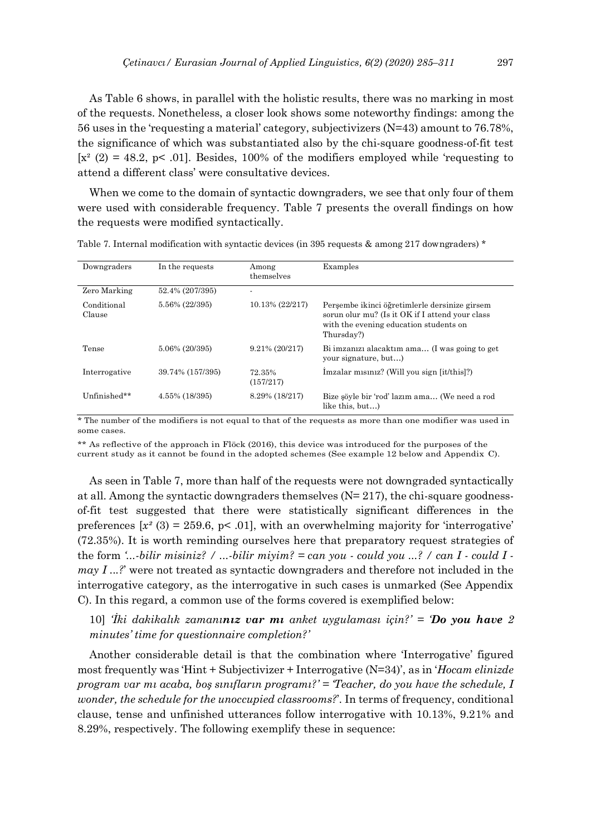As Table 6 shows, in parallel with the holistic results, there was no marking in most of the requests. Nonetheless, a closer look shows some noteworthy findings: among the 56 uses in the 'requesting a material' category, subjectivizers (N=43) amount to 76.78%, the significance of which was substantiated also by the chi-square goodness-of-fit test  $[x^{2}(2) = 48.2, p< .01]$ . Besides, 100% of the modifiers employed while 'requesting to attend a different class' were consultative devices.

When we come to the domain of syntactic downgraders, we see that only four of them were used with considerable frequency. Table 7 presents the overall findings on how the requests were modified syntactically.

| Downgraders           | In the requests  | Among<br>themselves | Examples                                                                                                                                                 |
|-----------------------|------------------|---------------------|----------------------------------------------------------------------------------------------------------------------------------------------------------|
| Zero Marking          | 52.4% (207/395)  |                     |                                                                                                                                                          |
| Conditional<br>Clause | 5.56% (22/395)   | 10.13% (22/217)     | Persembe ikinci öğretimlerle dersinize girsem<br>sorun olur mu? (Is it OK if I attend your class<br>with the evening education students on<br>Thursday?) |
| Tense                 | 5.06% (20/395)   | $9.21\% (20/217)$   | Bi imzanizi alacaktim ama (I was going to get<br>your signature, but)                                                                                    |
| Interrogative         | 39.74% (157/395) | 72.35%<br>(157/217) | Imzalar misiniz? (Will you sign [it/this]?)                                                                                                              |
| Unfinished**          | 4.55% (18/395)   | 8.29% (18/217)      | Bize söyle bir 'rod' lazım ama (We need a rod<br>like this, but)                                                                                         |

Table 7. Internal modification with syntactic devices (in 395 requests & among 217 downgraders) \*

\* The number of the modifiers is not equal to that of the requests as more than one modifier was used in some cases.

\*\* As reflective of the approach in Flöck (2016), this device was introduced for the purposes of the current study as it cannot be found in the adopted schemes (See example 12 below and Appendix C).

As seen in Table 7, more than half of the requests were not downgraded syntactically at all. Among the syntactic downgraders themselves  $(N=217)$ , the chi-square goodnessof-fit test suggested that there were statistically significant differences in the preferences  $[x^2(3) = 259.6, p< .01]$ , with an overwhelming majority for 'interrogative' (72.35%). It is worth reminding ourselves here that preparatory request strategies of the form *'...-bilir misiniz? / ...-bilir miyim? = can you - could you ...? / can I - could I may I ...?*' were not treated as syntactic downgraders and therefore not included in the interrogative category, as the interrogative in such cases is unmarked (See Appendix C). In this regard, a common use of the forms covered is exemplified below:

10] *'İki dakikalık zamanınız var mı anket uygulaması için?' = 'Do you have 2 minutes' time for questionnaire completion?'*

Another considerable detail is that the combination where 'Interrogative' figured most frequently was 'Hint + Subjectivizer + Interrogative (N=34)', as in '*Hocam elinizde program var mı acaba, boş sınıfların programı?' = 'Teacher, do you have the schedule, I wonder, the schedule for the unoccupied classrooms?*'. In terms of frequency, conditional clause, tense and unfinished utterances follow interrogative with 10.13%, 9.21% and 8.29%, respectively. The following exemplify these in sequence: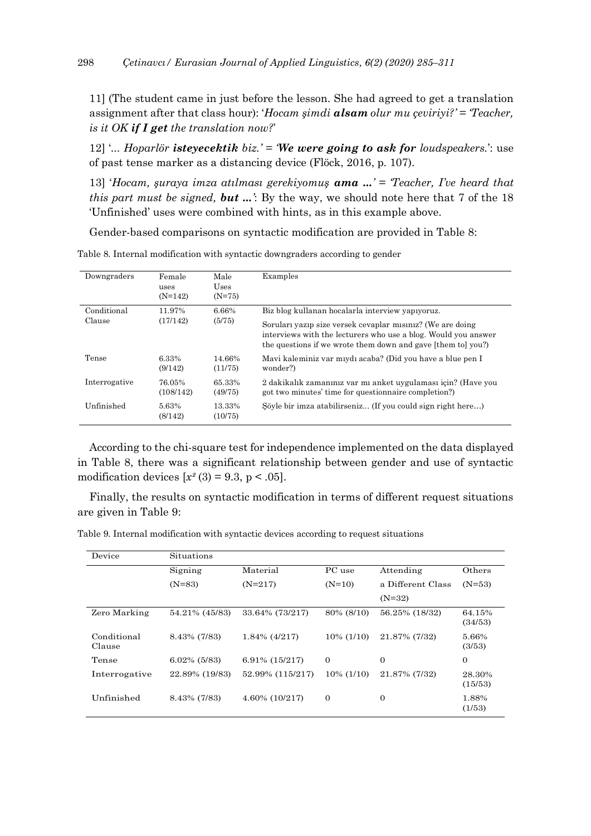11] (The student came in just before the lesson. She had agreed to get a translation assignment after that class hour): '*Hocam şimdi alsam olur mu çeviriyi?' = 'Teacher, is it OK if I get the translation now?*'

12] '*... Hoparlör isteyecektik biz.' = 'We were going to ask for loudspeakers.*': use of past tense marker as a distancing device (Flöck, 2016, p. 107).

13] '*Hocam, şuraya imza atılması gerekiyomuş ama ...' = 'Teacher, I've heard that this part must be signed, but ...'*: By the way, we should note here that 7 of the 18 'Unfinished' uses were combined with hints, as in this example above.

Gender-based comparisons on syntactic modification are provided in Table 8:

| Downgraders   | Female<br>uses<br>$(N=142)$ | Male<br>Uses<br>$(N=75)$ | Examples                                                                                                                                                                                     |
|---------------|-----------------------------|--------------------------|----------------------------------------------------------------------------------------------------------------------------------------------------------------------------------------------|
| Conditional   | 11.97%                      | 6.66%                    | Biz blog kullanan hocalarla interview yapıyoruz.                                                                                                                                             |
| Clause        | (17/142)                    | (5/75)                   | Soruları yazıp size versek cevaplar mısınız? (We are doing<br>interviews with the lecturers who use a blog. Would you answer<br>the questions if we wrote them down and gave [them to] you?) |
| Tense         | 6.33%<br>(9/142)            | 14.66%<br>(11/75)        | Mavi kaleminiz var miydi acaba? (Did you have a blue pen I<br>wonder?)                                                                                                                       |
| Interrogative | 76.05%<br>(108/142)         | 65.33%<br>(49/75)        | 2 dakikalık zamanınız var mı anket uygulaması için? (Have you<br>got two minutes' time for questionnaire completion?)                                                                        |
| Unfinished    | 5.63%<br>(8/142)            | 13.33%<br>(10/75)        | Söyle bir imza atabilirseniz (If you could sign right here)                                                                                                                                  |

Table 8. Internal modification with syntactic downgraders according to gender

According to the chi-square test for independence implemented on the data displayed in Table 8, there was a significant relationship between gender and use of syntactic modification devices  $[x^2(3) = 9.3, p < .05]$ .

Finally, the results on syntactic modification in terms of different request situations are given in Table 9:

Table 9. Internal modification with syntactic devices according to request situations

| Situations      |                  |               |                   |                   |
|-----------------|------------------|---------------|-------------------|-------------------|
| Signing         | Material         | PC use        | Attending         | Others            |
| $(N=83)$        | $(N=217)$        | $(N=10)$      | a Different Class | $(N=53)$          |
|                 |                  |               | $(N=32)$          |                   |
| 54.21% (45/83)  | 33.64% (73/217)  | 80% (8/10)    | 56.25% (18/32)    | 64.15%<br>(34/53) |
| 8.43% (7/83)    | $1.84\%$ (4/217) | $10\%$ (1/10) | 21.87% (7/32)     | 5.66%<br>(3/53)   |
| $6.02\%$ (5/83) | 6.91% (15/217)   | $\Omega$      | $\Omega$          | $\Omega$          |
| 22.89% (19/83)  | 52.99% (115/217) | $10\%$ (1/10) | 21.87% (7/32)     | 28.30%<br>(15/53) |
| 8.43% (7/83)    | 4.60% (10/217)   | $\mathbf{0}$  | $\theta$          | 1.88%<br>(1/53)   |
|                 |                  |               |                   |                   |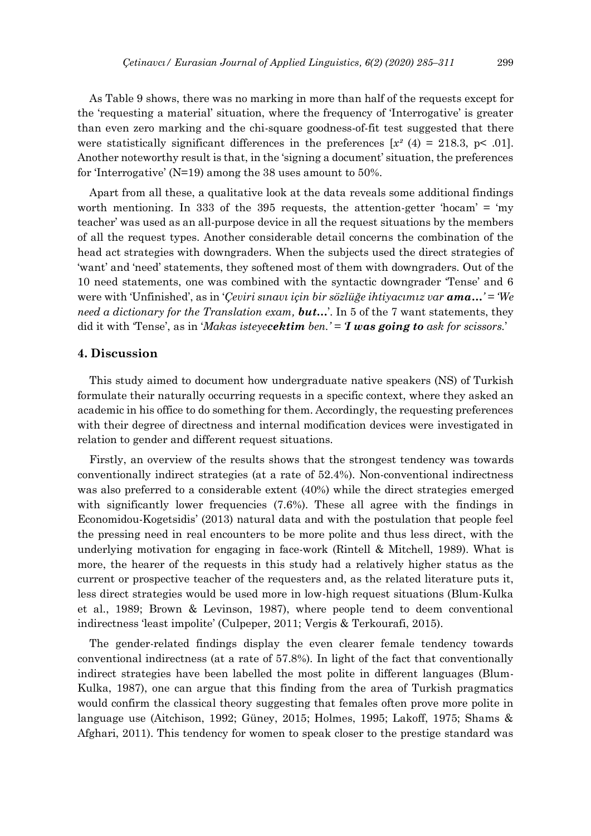As Table 9 shows, there was no marking in more than half of the requests except for the 'requesting a material' situation, where the frequency of 'Interrogative' is greater than even zero marking and the chi-square goodness-of-fit test suggested that there were statistically significant differences in the preferences  $[x^2(4) = 218.3, y < .01]$ . Another noteworthy result is that, in the 'signing a document' situation, the preferences for 'Interrogative' (N=19) among the 38 uses amount to 50%.

Apart from all these, a qualitative look at the data reveals some additional findings worth mentioning. In 333 of the 395 requests, the attention-getter 'hocam' = 'my teacher' was used as an all-purpose device in all the request situations by the members of all the request types. Another considerable detail concerns the combination of the head act strategies with downgraders. When the subjects used the direct strategies of 'want' and 'need' statements, they softened most of them with downgraders. Out of the 10 need statements, one was combined with the syntactic downgrader 'Tense' and 6 were with 'Unfinished', as in '*Çeviri sınavı için bir sözlüğe ihtiyacımız var ama…' = 'We need a dictionary for the Translation exam, but…*'. In 5 of the 7 want statements, they did it with 'Tense', as in '*Makas isteyecektim ben.' = 'I was going to ask for scissors.*'

#### **4. Discussion**

This study aimed to document how undergraduate native speakers (NS) of Turkish formulate their naturally occurring requests in a specific context, where they asked an academic in his office to do something for them. Accordingly, the requesting preferences with their degree of directness and internal modification devices were investigated in relation to gender and different request situations.

Firstly, an overview of the results shows that the strongest tendency was towards conventionally indirect strategies (at a rate of 52.4%). Non-conventional indirectness was also preferred to a considerable extent (40%) while the direct strategies emerged with significantly lower frequencies (7.6%). These all agree with the findings in Economidou-Kogetsidis' (2013) natural data and with the postulation that people feel the pressing need in real encounters to be more polite and thus less direct, with the underlying motivation for engaging in face-work (Rintell & Mitchell, 1989). What is more, the hearer of the requests in this study had a relatively higher status as the current or prospective teacher of the requesters and, as the related literature puts it, less direct strategies would be used more in low-high request situations (Blum-Kulka et al., 1989; Brown & Levinson, 1987), where people tend to deem conventional indirectness 'least impolite' (Culpeper, 2011; Vergis & Terkourafi, 2015).

The gender-related findings display the even clearer female tendency towards conventional indirectness (at a rate of 57.8%). In light of the fact that conventionally indirect strategies have been labelled the most polite in different languages (Blum-Kulka, 1987), one can argue that this finding from the area of Turkish pragmatics would confirm the classical theory suggesting that females often prove more polite in language use (Aitchison, 1992; Güney, 2015; Holmes, 1995; Lakoff, 1975; Shams & Afghari, 2011). This tendency for women to speak closer to the prestige standard was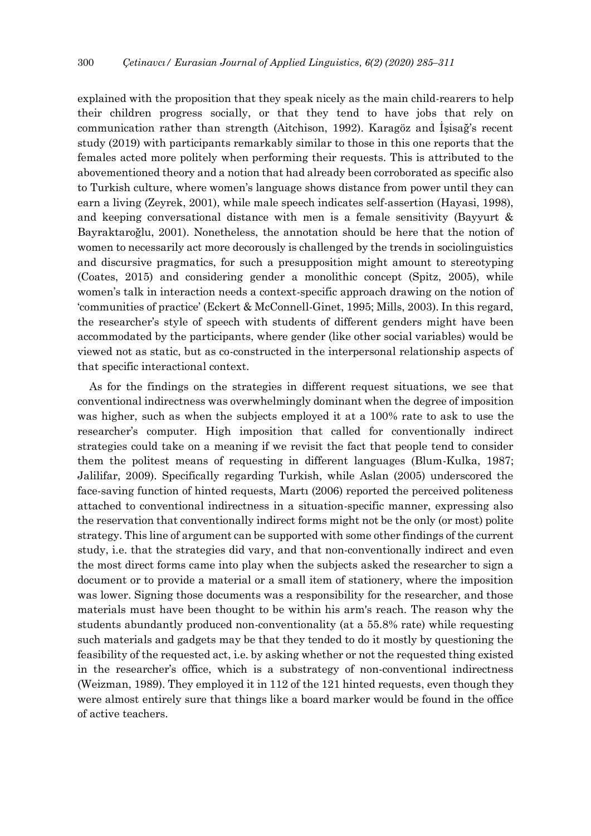explained with the proposition that they speak nicely as the main child-rearers to help their children progress socially, or that they tend to have jobs that rely on communication rather than strength (Aitchison, 1992). Karagöz and İşisağ's recent study (2019) with participants remarkably similar to those in this one reports that the females acted more politely when performing their requests. This is attributed to the abovementioned theory and a notion that had already been corroborated as specific also to Turkish culture, where women's language shows distance from power until they can earn a living (Zeyrek, 2001), while male speech indicates self-assertion (Hayasi, 1998), and keeping conversational distance with men is a female sensitivity (Bayyurt & Bayraktaroğlu, 2001). Nonetheless, the annotation should be here that the notion of women to necessarily act more decorously is challenged by the trends in sociolinguistics and discursive pragmatics, for such a presupposition might amount to stereotyping (Coates, 2015) and considering gender a monolithic concept (Spitz, 2005), while women's talk in interaction needs a context-specific approach drawing on the notion of 'communities of practice' (Eckert & McConnell-Ginet, 1995; Mills, 2003). In this regard, the researcher's style of speech with students of different genders might have been accommodated by the participants, where gender (like other social variables) would be viewed not as static, but as co-constructed in the interpersonal relationship aspects of that specific interactional context.

As for the findings on the strategies in different request situations, we see that conventional indirectness was overwhelmingly dominant when the degree of imposition was higher, such as when the subjects employed it at a 100% rate to ask to use the researcher's computer. High imposition that called for conventionally indirect strategies could take on a meaning if we revisit the fact that people tend to consider them the politest means of requesting in different languages (Blum-Kulka, 1987; Jalilifar, 2009). Specifically regarding Turkish, while Aslan (2005) underscored the face-saving function of hinted requests, Martı (2006) reported the perceived politeness attached to conventional indirectness in a situation-specific manner, expressing also the reservation that conventionally indirect forms might not be the only (or most) polite strategy. This line of argument can be supported with some other findings of the current study, i.e. that the strategies did vary, and that non-conventionally indirect and even the most direct forms came into play when the subjects asked the researcher to sign a document or to provide a material or a small item of stationery, where the imposition was lower. Signing those documents was a responsibility for the researcher, and those materials must have been thought to be within his arm's reach. The reason why the students abundantly produced non-conventionality (at a 55.8% rate) while requesting such materials and gadgets may be that they tended to do it mostly by questioning the feasibility of the requested act, i.e. by asking whether or not the requested thing existed in the researcher's office, which is a substrategy of non-conventional indirectness (Weizman, 1989). They employed it in 112 of the 121 hinted requests, even though they were almost entirely sure that things like a board marker would be found in the office of active teachers.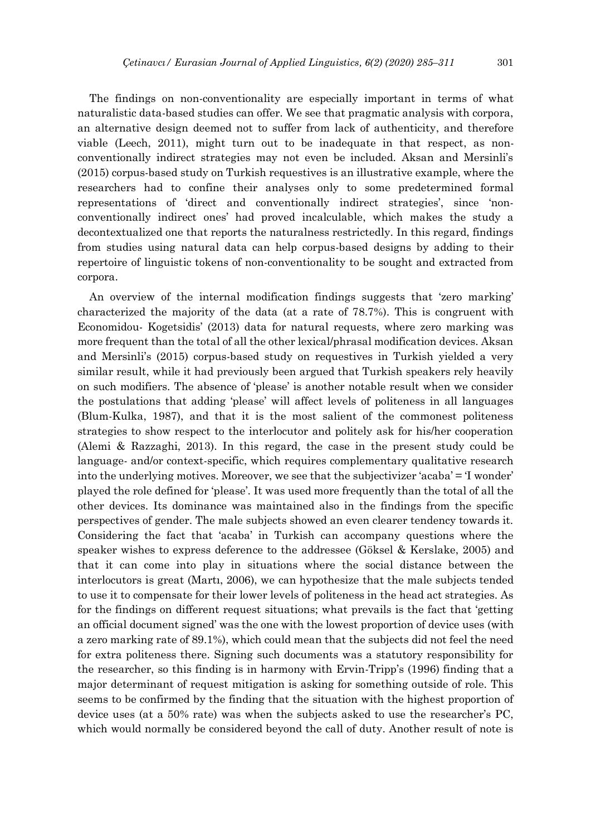The findings on non-conventionality are especially important in terms of what naturalistic data-based studies can offer. We see that pragmatic analysis with corpora, an alternative design deemed not to suffer from lack of authenticity, and therefore viable (Leech, 2011), might turn out to be inadequate in that respect, as nonconventionally indirect strategies may not even be included. Aksan and Mersinli's (2015) corpus-based study on Turkish requestives is an illustrative example, where the researchers had to confine their analyses only to some predetermined formal representations of 'direct and conventionally indirect strategies', since 'nonconventionally indirect ones' had proved incalculable, which makes the study a decontextualized one that reports the naturalness restrictedly. In this regard, findings from studies using natural data can help corpus-based designs by adding to their repertoire of linguistic tokens of non-conventionality to be sought and extracted from corpora.

An overview of the internal modification findings suggests that 'zero marking' characterized the majority of the data (at a rate of 78.7%). This is congruent with Economidou- Kogetsidis' (2013) data for natural requests, where zero marking was more frequent than the total of all the other lexical/phrasal modification devices. Aksan and Mersinli's (2015) corpus-based study on requestives in Turkish yielded a very similar result, while it had previously been argued that Turkish speakers rely heavily on such modifiers. The absence of 'please' is another notable result when we consider the postulations that adding 'please' will affect levels of politeness in all languages (Blum-Kulka, 1987), and that it is the most salient of the commonest politeness strategies to show respect to the interlocutor and politely ask for his/her cooperation (Alemi & Razzaghi, 2013). In this regard, the case in the present study could be language- and/or context-specific, which requires complementary qualitative research into the underlying motives. Moreover, we see that the subjectivizer 'acaba' = 'I wonder' played the role defined for 'please'. It was used more frequently than the total of all the other devices. Its dominance was maintained also in the findings from the specific perspectives of gender. The male subjects showed an even clearer tendency towards it. Considering the fact that 'acaba' in Turkish can accompany questions where the speaker wishes to express deference to the addressee (Göksel & Kerslake, 2005) and that it can come into play in situations where the social distance between the interlocutors is great (Martı, 2006), we can hypothesize that the male subjects tended to use it to compensate for their lower levels of politeness in the head act strategies. As for the findings on different request situations; what prevails is the fact that 'getting an official document signed' was the one with the lowest proportion of device uses (with a zero marking rate of 89.1%), which could mean that the subjects did not feel the need for extra politeness there. Signing such documents was a statutory responsibility for the researcher, so this finding is in harmony with Ervin-Tripp's (1996) finding that a major determinant of request mitigation is asking for something outside of role. This seems to be confirmed by the finding that the situation with the highest proportion of device uses (at a 50% rate) was when the subjects asked to use the researcher's PC, which would normally be considered beyond the call of duty. Another result of note is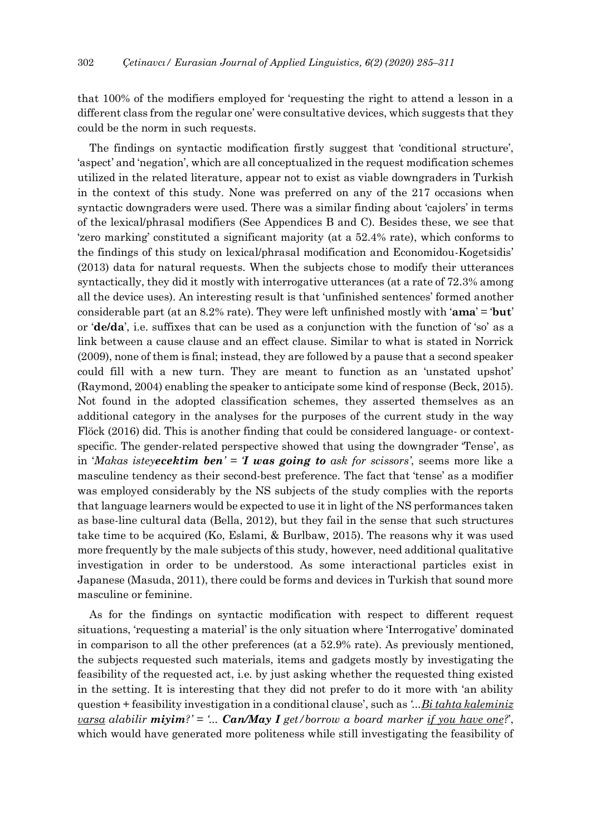that 100% of the modifiers employed for 'requesting the right to attend a lesson in a different class from the regular one' were consultative devices, which suggests that they could be the norm in such requests.

The findings on syntactic modification firstly suggest that 'conditional structure', 'aspect' and 'negation', which are all conceptualized in the request modification schemes utilized in the related literature, appear not to exist as viable downgraders in Turkish in the context of this study. None was preferred on any of the 217 occasions when syntactic downgraders were used. There was a similar finding about 'cajolers' in terms of the lexical/phrasal modifiers (See Appendices B and C). Besides these, we see that 'zero marking' constituted a significant majority (at a 52.4% rate), which conforms to the findings of this study on lexical/phrasal modification and Economidou-Kogetsidis' (2013) data for natural requests. When the subjects chose to modify their utterances syntactically, they did it mostly with interrogative utterances (at a rate of 72.3% among all the device uses). An interesting result is that 'unfinished sentences' formed another considerable part (at an 8.2% rate). They were left unfinished mostly with '**ama**' = '**but**' or '**de/da**', i.e. suffixes that can be used as a conjunction with the function of 'so' as a link between a cause clause and an effect clause. Similar to what is stated in Norrick (2009), none of them is final; instead, they are followed by a pause that a second speaker could fill with a new turn. They are meant to function as an 'unstated upshot' (Raymond, 2004) enabling the speaker to anticipate some kind of response (Beck, 2015). Not found in the adopted classification schemes, they asserted themselves as an additional category in the analyses for the purposes of the current study in the way Flöck (2016) did. This is another finding that could be considered language- or contextspecific. The gender-related perspective showed that using the downgrader 'Tense', as in '*Makas isteyecektim ben' = 'I was going to ask for scissors'*, seems more like a masculine tendency as their second-best preference. The fact that 'tense' as a modifier was employed considerably by the NS subjects of the study complies with the reports that language learners would be expected to use it in light of the NS performances taken as base-line cultural data (Bella, 2012), but they fail in the sense that such structures take time to be acquired (Ko, Eslami, & Burlbaw, 2015). The reasons why it was used more frequently by the male subjects of this study, however, need additional qualitative investigation in order to be understood. As some interactional particles exist in Japanese (Masuda, 2011), there could be forms and devices in Turkish that sound more masculine or feminine.

As for the findings on syntactic modification with respect to different request situations, 'requesting a material' is the only situation where 'Interrogative' dominated in comparison to all the other preferences (at a 52.9% rate). As previously mentioned, the subjects requested such materials, items and gadgets mostly by investigating the feasibility of the requested act, i.e. by just asking whether the requested thing existed in the setting. It is interesting that they did not prefer to do it more with 'an ability question + feasibility investigation in a conditional clause', such as *'...Bi tahta kaleminiz varsa alabilir miyim?' = '... Can/May I get/borrow a board marker if you have one?*', which would have generated more politeness while still investigating the feasibility of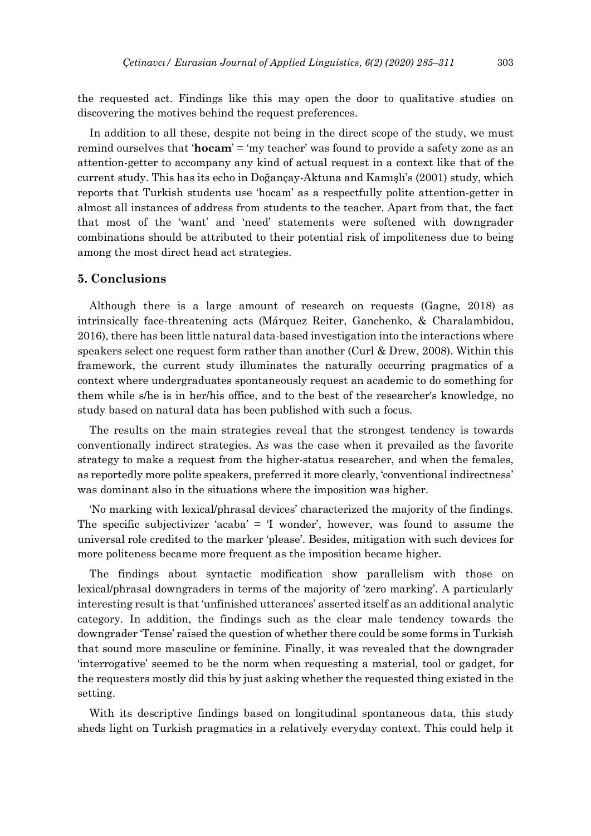the requested act. Findings like this may open the door to qualitative studies on discovering the motives behind the request preferences.

In addition to all these, despite not being in the direct scope of the study, we must remind ourselves that '**hocam**' = 'my teacher' was found to provide a safety zone as an attention-getter to accompany any kind of actual request in a context like that of the current study. This has its echo in Doğançay-Aktuna and Kamışlı's (2001) study, which reports that Turkish students use 'hocam' as a respectfully polite attention-getter in almost all instances of address from students to the teacher. Apart from that, the fact that most of the 'want' and 'need' statements were softened with downgrader combinations should be attributed to their potential risk of impoliteness due to being among the most direct head act strategies.

## **5. Conclusions**

Although there is a large amount of research on requests (Gagne, 2018) as intrinsically face-threatening acts (Márquez Reiter, Ganchenko, & Charalambidou, 2016), there has been little natural data-based investigation into the interactions where speakers select one request form rather than another (Curl & Drew, 2008). Within this framework, the current study illuminates the naturally occurring pragmatics of a context where undergraduates spontaneously request an academic to do something for them while s/he is in her/his office, and to the best of the researcher's knowledge, no study based on natural data has been published with such a focus.

The results on the main strategies reveal that the strongest tendency is towards conventionally indirect strategies. As was the case when it prevailed as the favorite strategy to make a request from the higher-status researcher, and when the females, as reportedly more polite speakers, preferred it more clearly, 'conventional indirectness' was dominant also in the situations where the imposition was higher.

'No marking with lexical/phrasal devices' characterized the majority of the findings. The specific subjectivizer 'acaba' = 'I wonder', however, was found to assume the universal role credited to the marker 'please'. Besides, mitigation with such devices for more politeness became more frequent as the imposition became higher.

The findings about syntactic modification show parallelism with those on lexical/phrasal downgraders in terms of the majority of 'zero marking'. A particularly interesting result is that 'unfinished utterances' asserted itself as an additional analytic category. In addition, the findings such as the clear male tendency towards the downgrader 'Tense' raised the question of whether there could be some forms in Turkish that sound more masculine or feminine. Finally, it was revealed that the downgrader 'interrogative' seemed to be the norm when requesting a material, tool or gadget, for the requesters mostly did this by just asking whether the requested thing existed in the setting.

With its descriptive findings based on longitudinal spontaneous data, this study sheds light on Turkish pragmatics in a relatively everyday context. This could help it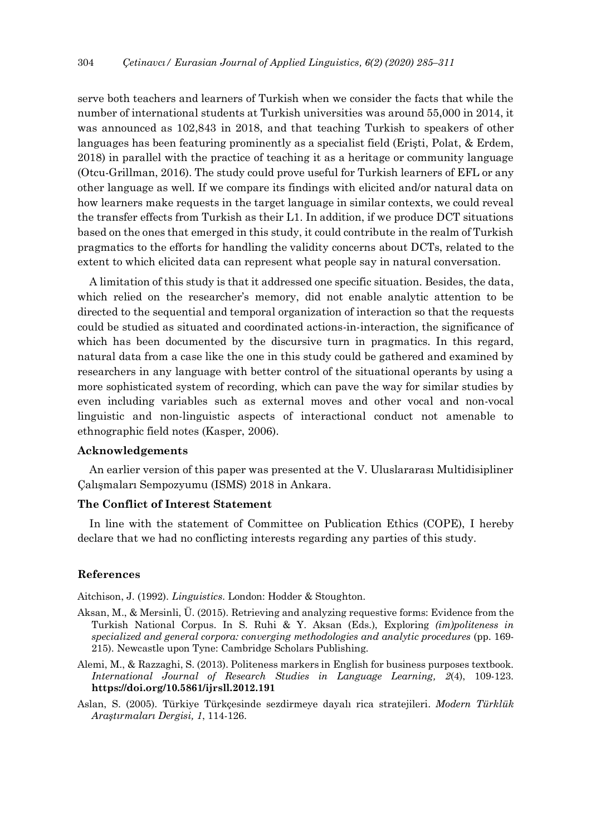serve both teachers and learners of Turkish when we consider the facts that while the number of international students at Turkish universities was around 55,000 in 2014, it was announced as 102,843 in 2018, and that teaching Turkish to speakers of other languages has been featuring prominently as a specialist field (Erişti, Polat, & Erdem, 2018) in parallel with the practice of teaching it as a heritage or community language (Otcu-Grillman, 2016). The study could prove useful for Turkish learners of EFL or any other language as well. If we compare its findings with elicited and/or natural data on how learners make requests in the target language in similar contexts, we could reveal the transfer effects from Turkish as their L1. In addition, if we produce DCT situations based on the ones that emerged in this study, it could contribute in the realm of Turkish pragmatics to the efforts for handling the validity concerns about DCTs, related to the extent to which elicited data can represent what people say in natural conversation.

A limitation of this study is that it addressed one specific situation. Besides, the data, which relied on the researcher's memory, did not enable analytic attention to be directed to the sequential and temporal organization of interaction so that the requests could be studied as situated and coordinated actions-in-interaction, the significance of which has been documented by the discursive turn in pragmatics. In this regard, natural data from a case like the one in this study could be gathered and examined by researchers in any language with better control of the situational operants by using a more sophisticated system of recording, which can pave the way for similar studies by even including variables such as external moves and other vocal and non-vocal linguistic and non-linguistic aspects of interactional conduct not amenable to ethnographic field notes (Kasper, 2006).

## **Acknowledgements**

An earlier version of this paper was presented at the V. Uluslararası Multidisipliner Çalışmaları Sempozyumu (ISMS) 2018 in Ankara.

## **The Conflict of Interest Statement**

In line with the statement of Committee on Publication Ethics (COPE), I hereby declare that we had no conflicting interests regarding any parties of this study.

#### **References**

Aitchison, J. (1992). *Linguistics*. London: Hodder & Stoughton.

- Aksan, M., & Mersinli, Ü. (2015). Retrieving and analyzing requestive forms: Evidence from the Turkish National Corpus. In S. Ruhi & Y. Aksan (Eds.), Exploring *(im)politeness in specialized and general corpora: converging methodologies and analytic procedures* (pp. 169- 215). Newcastle upon Tyne: Cambridge Scholars Publishing.
- Alemi, M., & Razzaghi, S. (2013). Politeness markers in English for business purposes textbook. *International Journal of Research Studies in Language Learning, 2*(4), 109-123. **<https://doi.org/10.5861/ijrsll.2012.191>**
- Aslan, S. (2005). Türkiye Türkçesinde sezdirmeye dayalı rica stratejileri. *Modern Türklük Araştırmaları Dergisi, 1*, 114-126.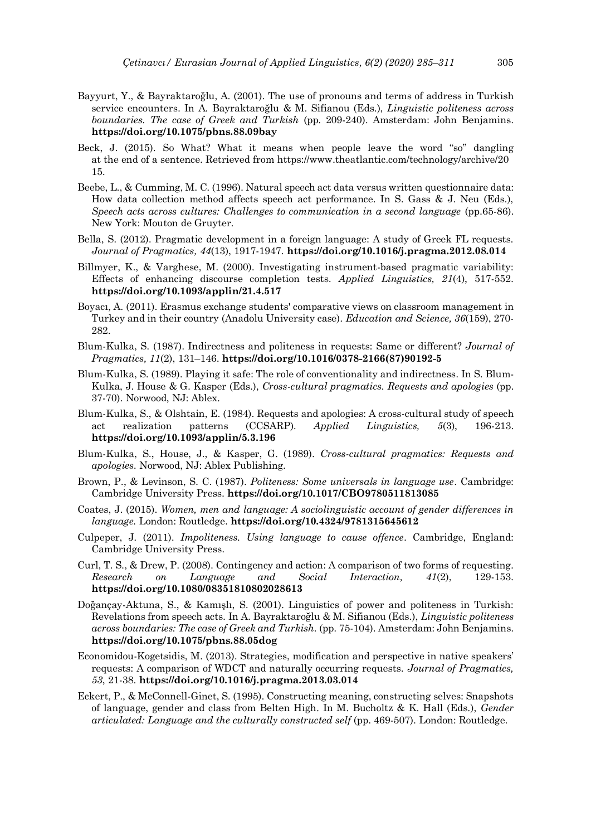- Bayyurt, Y., & Bayraktaroğlu, A. (2001). The use of pronouns and terms of address in Turkish service encounters. In A. Bayraktaroğlu & M. Sifianou (Eds.), *Linguistic politeness across boundaries. The case of Greek and Turkish* (pp. 209-240). Amsterdam: John Benjamins. **https://doi.org/10.1075/pbns.88.09bay**
- Beck, J. (2015). So What? What it means when people leave the word "so" dangling at the end of a sentence. Retrieved from https://www.theatlantic.com/technology/archive/20 15.
- Beebe, L., & Cumming, M. C. (1996). Natural speech act data versus written questionnaire data: How data collection method affects speech act performance. In S. Gass & J. Neu (Eds.), *Speech acts across cultures: Challenges to communication in a second language* (pp.65-86). New York: Mouton de Gruyter.
- Bella, S. (2012). Pragmatic development in a foreign language: A study of Greek FL requests. *Journal of Pragmatics, 44*(13), 1917-1947. **https://doi.org/10.1016/j.pragma.2012.08.014**
- Billmyer, K., & Varghese, M. (2000). Investigating instrument-based pragmatic variability: Effects of enhancing discourse completion tests. *Applied Linguistics, 21*(4), 517-552. **<https://doi.org/10.1093/applin/21.4.517>**
- Boyacı, A. (2011). Erasmus exchange students' comparative views on classroom management in Turkey and in their country (Anadolu University case). *Education and Science, 36*(159), 270- 282.
- Blum-Kulka, S. (1987). Indirectness and politeness in requests: Same or different? *Journal of Pragmatics, 11*(2), 131–146. **[https://doi.org/10.1016/0378-2166\(87\)90192-5](https://doi.org/10.1016/0378-2166(87)90192-5)**
- Blum-Kulka, S. (1989). Playing it safe: The role of conventionality and indirectness. In S. Blum-Kulka, J. House & G. Kasper (Eds.), *Cross-cultural pragmatics. Requests and apologies* (pp. 37-70). Norwood, NJ: Ablex.
- Blum-Kulka, S., & Olshtain, E. (1984). Requests and apologies: A cross-cultural study of speech act realization patterns (CCSARP). *Applied Linguistics, 5*(3), 196-213. **<https://doi.org/10.1093/applin/5.3.196>**
- Blum-Kulka, S., House, J., & Kasper, G. (1989). *Cross-cultural pragmatics: Requests and apologies*. Norwood, NJ: Ablex Publishing.
- Brown, P., & Levinson, S. C. (1987). *Politeness: Some universals in language use*. Cambridge: Cambridge University Press. **https://doi.org/10.1017/CBO9780511813085**
- Coates, J. (2015). *Women, men and language: A sociolinguistic account of gender differences in language.* London: Routledge. **https://doi.org/10.4324/9781315645612**
- Culpeper, J. (2011). *Impoliteness. Using language to cause offence*. Cambridge, England: Cambridge University Press.
- Curl, T. S., & Drew, P. (2008). Contingency and action: A comparison of two forms of requesting. *Research on Language and Social Interaction, 41*(2), 129-153. **https://doi.org/10.1080/08351810802028613**
- Doğançay-Aktuna, S., & Kamışlı, S. (2001). Linguistics of power and politeness in Turkish: Revelations from speech acts. In A. Bayraktaroğlu & M. Sifianou (Eds.), *Linguistic politeness across boundaries: The case of Greek and Turkish.* (pp. 75-104). Amsterdam: John Benjamins. **https://doi.org/10.1075/pbns.88.05dog**
- Economidou-Kogetsidis, M. (2013). Strategies, modification and perspective in native speakers' requests: A comparison of WDCT and naturally occurring requests. *Journal of Pragmatics, 53*, 21-38. **https://doi.org/10.1016/j.pragma.2013.03.014**
- Eckert, P., & McConnell-Ginet, S. (1995). Constructing meaning, constructing selves: Snapshots of language, gender and class from Belten High. In M. Bucholtz & K. Hall (Eds.), *Gender articulated: Language and the culturally constructed self* (pp. 469-507). London: Routledge.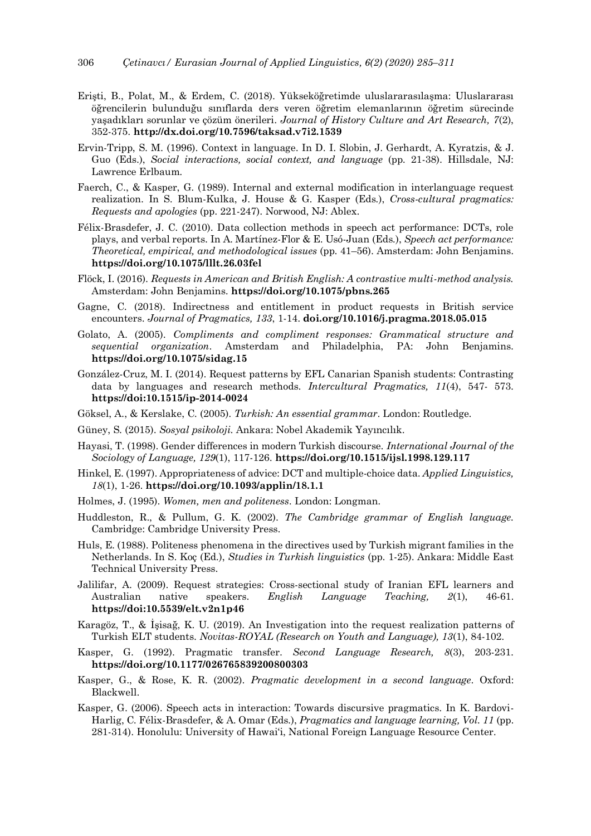- Erişti, B., Polat, M., & Erdem, C. (2018). Yükseköğretimde uluslararasılaşma: Uluslararası öğrencilerin bulunduğu sınıflarda ders veren öğretim elemanlarının öğretim sürecinde yaşadıkları sorunlar ve çözüm önerileri. *Journal of History Culture and Art Research, 7*(2), 352-375. **http://dx.doi.org/10.7596/taksad.v7i2.1539**
- Ervin-Tripp, S. M. (1996). Context in language. In D. I. Slobin, J. Gerhardt, A. Kyratzis, & J. Guo (Eds.), *Social interactions, social context, and language* (pp. 21-38). Hillsdale, NJ: Lawrence Erlbaum.
- Faerch, C., & Kasper, G. (1989). Internal and external modification in interlanguage request realization. In S. Blum-Kulka, J. House & G. Kasper (Eds.), *Cross-cultural pragmatics: Requests and apologies* (pp. 221-247). Norwood, NJ: Ablex.
- Félix-Brasdefer, J. C. (2010). Data collection methods in speech act performance: DCTs, role plays, and verbal reports. In A. Martínez-Flor & E. Usó-Juan (Eds.), *Speech act performance: Theoretical, empirical, and methodological issues* (pp. 41–56). Amsterdam: John Benjamins. **https://doi.org/10.1075/lllt.26.03fel**
- Flöck, I. (2016). *Requests in American and British English: A contrastive multi-method analysis.* Amsterdam: John Benjamins. **https://doi.org/10.1075/pbns.265**
- Gagne, C. (2018). Indirectness and entitlement in product requests in British service encounters. *Journal of Pragmatics, 133*, 1-14. **doi.org/10.1016/j.pragma.2018.05.015**
- Golato, A. (2005). *Compliments and compliment responses: Grammatical structure and sequential organization*. Amsterdam and Philadelphia, PA: John Benjamins. **https://doi.org/10.1075/sidag.15**
- González-Cruz, M. I. (2014). Request patterns by EFL Canarian Spanish students: Contrasting data by languages and research methods. *Intercultural Pragmatics, 11*(4), 547- 573. **https://doi:10.1515/ip-2014-0024**
- Göksel, A., & Kerslake, C. (2005). *Turkish: An essential grammar*. London: Routledge.
- Güney, S. (2015). *Sosyal psikoloji*. Ankara: Nobel Akademik Yayıncılık.
- Hayasi, T. (1998). Gender differences in modern Turkish discourse. *International Journal of the Sociology of Language, 129*(1), 117-126. **https://doi.org/10.1515/ijsl.1998.129.117**
- Hinkel, E. (1997). Appropriateness of advice: DCT and multiple-choice data. *Applied Linguistics, 18*(1), 1-26. **https://doi.org/10.1093/applin/18.1.1**
- Holmes, J. (1995). *Women, men and politeness*. London: Longman.
- Huddleston, R., & Pullum, G. K. (2002). *The Cambridge grammar of English language.*  Cambridge: Cambridge University Press.
- Huls, E. (1988). Politeness phenomena in the directives used by Turkish migrant families in the Netherlands. In S. Koç (Ed.), *Studies in Turkish linguistics* (pp. 1-25). Ankara: Middle East Technical University Press.
- Jalilifar, A. (2009). Request strategies: Cross-sectional study of Iranian EFL learners and Australian native speakers. *English Language Teaching, 2*(1), 46-61. **https://doi:10.5539/elt.v2n1p46**
- Karagöz, T., & İşisağ, K. U. (2019). An Investigation into the request realization patterns of Turkish ELT students. *Novitas-ROYAL (Research on Youth and Language), 13*(1), 84-102.
- Kasper, G. (1992). Pragmatic transfer. *Second Language Research, 8*(3), 203-231. **https://doi.org/10.1177/026765839200800303**
- Kasper, G., & Rose, K. R. (2002). *Pragmatic development in a second language*. Oxford: Blackwell.
- Kasper, G. (2006). Speech acts in interaction: Towards discursive pragmatics. In K. Bardovi-Harlig, C. Félix-Brasdefer, & A. Omar (Eds.), *Pragmatics and language learning, Vol. 11* (pp. 281-314). Honolulu: University of Hawai'i, National Foreign Language Resource Center.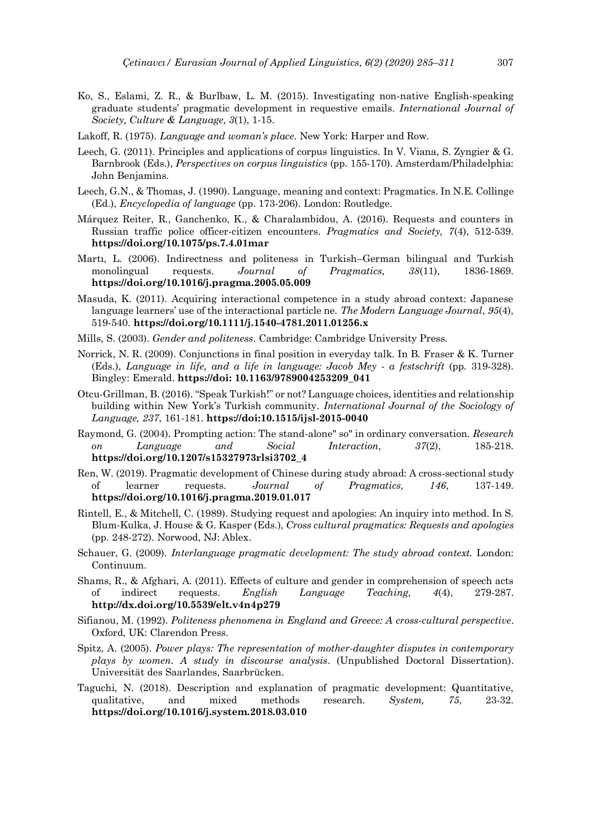- Ko, S., Eslami, Z. R., & Burlbaw, L. M. (2015). Investigating non-native English-speaking graduate students' pragmatic development in requestive emails. *International Journal of Society, Culture & Language, 3*(1), 1-15.
- Lakoff, R. (1975). *Language and woman's place*. New York: Harper and Row.
- Leech, G. (2011). Principles and applications of corpus linguistics. In V. Viana, S. Zyngier & G. Barnbrook (Eds.), *Perspectives on corpus linguistics* (pp. 155-170). Amsterdam/Philadelphia: John Benjamins.
- Leech, G.N., & Thomas, J. (1990). Language, meaning and context: Pragmatics. In N.E. Collinge (Ed.), *Encyclopedia of language* (pp. 173-206). London: Routledge.
- Márquez Reiter, R., Ganchenko, K., & Charalambidou, A. (2016). Requests and counters in Russian traffic police officer-citizen encounters. *Pragmatics and Society, 7*(4), 512-539. **https://doi.org/10.1075/ps.7.4.01mar**
- Martı, L. (2006). Indirectness and politeness in Turkish–German bilingual and Turkish monolingual requests. *Journal of Pragmatics, 38*(11), 1836-1869. **https://doi.org/10.1016/j.pragma.2005.05.009**
- Masuda, K. (2011). Acquiring interactional competence in a study abroad context: Japanese language learners' use of the interactional particle ne. *The Modern Language Journal*, *95*(4), 519-540. **https://doi.org/10.1111/j.1540-4781.2011.01256.x**
- Mills, S. (2003). *Gender and politeness*. Cambridge: Cambridge University Press.
- Norrick, N. R. (2009). Conjunctions in final position in everyday talk. In B. Fraser & K. Turner (Eds.), *Language in life, and a life in language: Jacob Mey - a festschrift* (pp. 319-328). Bingley: Emerald. **https://doi: 10.1163/9789004253209\_041**
- Otcu-Grillman, B. (2016). "Speak Turkish!" or not? Language choices, identities and relationship building within New York's Turkish community. *International Journal of the Sociology of Language, 237*, 161-181. **https://doi:10.1515/ijsl-2015-0040**
- Raymond, G. (2004). Prompting action: The stand-alone" so" in ordinary conversation. *Research on Language and Social Interaction, 37*(2), 185-218. **https://doi.org/10.1207/s15327973rlsi3702\_4**
- Ren, W. (2019). Pragmatic development of Chinese during study abroad: A cross-sectional study of learner requests. *Journal of Pragmatics, 146*, 137-149. **https://doi.org/10.1016/j.pragma.2019.01.017**
- Rintell, E., & Mitchell, C. (1989). Studying request and apologies: An inquiry into method. In S. Blum-Kulka, J. House & G. Kasper (Eds.), *Cross cultural pragmatics: Requests and apologies* (pp. 248-272). Norwood, NJ: Ablex.
- Schauer, G. (2009). *Interlanguage pragmatic development: The study abroad context.* London: Continuum.
- Shams, R., & Afghari, A. (2011). Effects of culture and gender in comprehension of speech acts of indirect requests. *English Language Teaching, 4*(4), 279-287. **http://dx.doi.org/10.5539/elt.v4n4p279**
- Sifianou, M. (1992). *Politeness phenomena in England and Greece: A cross-cultural perspective*. Oxford, UK: Clarendon Press.
- Spitz, A. (2005). *Power plays: The representation of mother-daughter disputes in contemporary plays by women. A study in discourse analysis*. (Unpublished Doctoral Dissertation). Universität des Saarlandes, Saarbrücken.
- Taguchi, N. (2018). Description and explanation of pragmatic development: Quantitative, qualitative, and mixed methods research. *System, 75*, 23-32. **https://doi.org/10.1016/j.system.2018.03.010**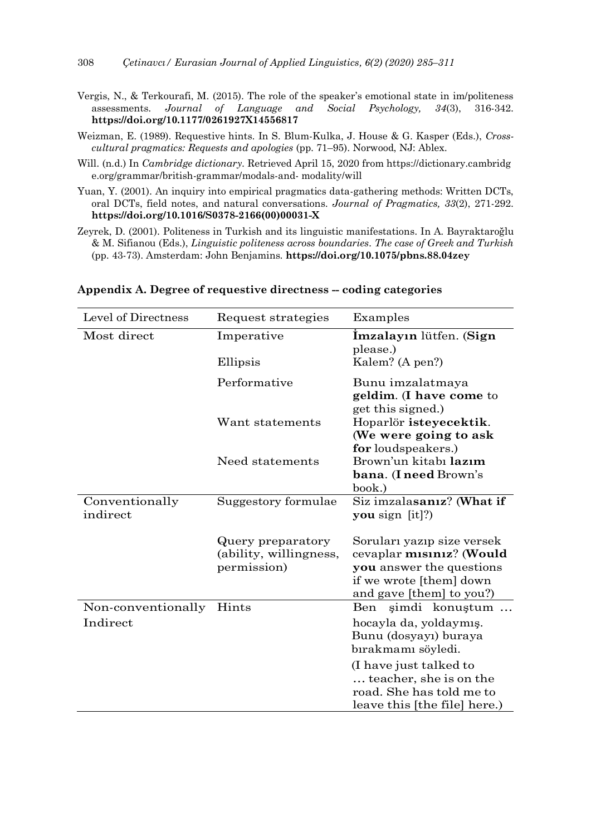- Vergis, N., & Terkourafi, M. (2015). The role of the speaker's emotional state in im/politeness assessments. *Journal of Language and Social Psychology, 34*(3), 316-342. **<https://doi.org/10.1177/0261927X14556817>**
- Weizman, E. (1989). Requestive hints. In S. Blum-Kulka, J. House & G. Kasper (Eds.), *Crosscultural pragmatics: Requests and apologies* (pp. 71–95). Norwood, NJ: Ablex.
- Will. (n.d.) In *Cambridge dictionary*. Retrieved April 15, 2020 from [https://dictionary.cambridg](https://dictionary.cambridge.org/grammar/british-grammar/modals-and-) [e.org/grammar/british-grammar/modals-and-](https://dictionary.cambridge.org/grammar/british-grammar/modals-and-) modality/will
- Yuan, Y. (2001). An inquiry into empirical pragmatics data-gathering methods: Written DCTs, oral DCTs, field notes, and natural conversations. *Journal of Pragmatics, 33*(2), 271-292. **https://doi.org/10.1016/S0378-2166(00)00031-X**
- Zeyrek, D. (2001). Politeness in Turkish and its linguistic manifestations. In A. Bayraktaroğlu & M. Sifianou (Eds.), *Linguistic politeness across boundaries. The case of Greek and Turkish* (pp. 43-73). Amsterdam: John Benjamins. **<https://doi.org/10.1075/pbns.88.04zey>**

| Level of Directness        | Request strategies                                         | Examples                                                                                                                                  |
|----------------------------|------------------------------------------------------------|-------------------------------------------------------------------------------------------------------------------------------------------|
| Most direct                | Imperative                                                 | İmzalayın lütfen. (Sign<br>please.)                                                                                                       |
|                            | Ellipsis                                                   | Kalem? (A pen?)                                                                                                                           |
|                            | Performative                                               | Bunu imzalatmaya<br>geldim. (I have come to<br>get this signed.)                                                                          |
|                            | Want statements                                            | Hoparlör isteyecektik.<br>(We were going to ask<br>for loudspeakers.)                                                                     |
|                            | Need statements                                            | Brown'un kitabı lazım<br>bana. (I need Brown's<br>book.)                                                                                  |
| Conventionally<br>indirect | Suggestory formulae                                        | Siz imzalasanız? (What if<br>you sign $[it]$ ?                                                                                            |
|                            | Query preparatory<br>(ability, willingness,<br>permission) | Soruları yazıp size versek<br>cevaplar misiniz? (Would<br>you answer the questions<br>if we wrote [them] down<br>and gave [them] to you?) |
| Non-conventionally         | Hints                                                      | simdi konustum<br>Ben                                                                                                                     |
| Indirect                   |                                                            | hocayla da, yoldaymış.<br>Bunu (dosyayı) buraya<br>bırakmamı söyledi.                                                                     |
|                            |                                                            | (I have just talked to<br>teacher, she is on the<br>road. She has told me to<br>leave this [the file] here.)                              |

**Appendix A. Degree of requestive directness -- coding categories**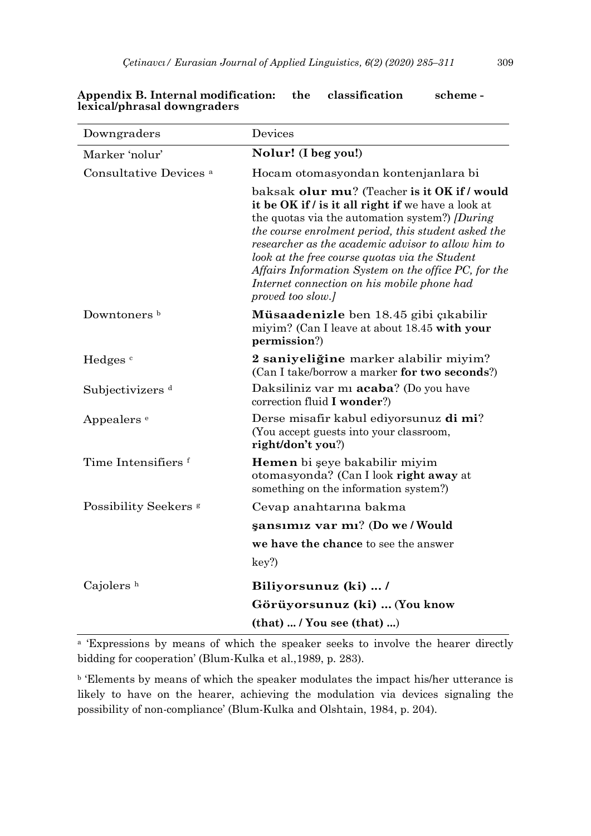| Downgraders                       | Devices                                                                                                                                                                                                                                                                                                                                                                                                                                                |
|-----------------------------------|--------------------------------------------------------------------------------------------------------------------------------------------------------------------------------------------------------------------------------------------------------------------------------------------------------------------------------------------------------------------------------------------------------------------------------------------------------|
| Marker 'nolur'                    | Nolur! (I beg you!)                                                                                                                                                                                                                                                                                                                                                                                                                                    |
| Consultative Devices <sup>a</sup> | Hocam otomasyondan kontenjanlara bi                                                                                                                                                                                                                                                                                                                                                                                                                    |
|                                   | baksak olur mu? (Teacher is it OK if / would<br>it be OK if / is it all right if we have a look at<br>the quotas via the automation system?) <i>[During</i><br>the course enrolment period, this student asked the<br>researcher as the academic advisor to allow him to<br>look at the free course quotas via the Student<br>Affairs Information System on the office PC, for the<br>Internet connection on his mobile phone had<br>proved too slow.] |
| Downtoners <sup>b</sup>           | Müsaadenizle ben 18.45 gibi çıkabilir<br>miyim? (Can I leave at about 18.45 with your<br>permission?)                                                                                                                                                                                                                                                                                                                                                  |
| Hedges <sup>c</sup>               | 2 saniyeliğine marker alabilir miyim?<br>(Can I take/borrow a marker for two seconds?)                                                                                                                                                                                                                                                                                                                                                                 |
| Subjectivizers <sup>d</sup>       | Daksiliniz var mi <b>acaba</b> ? (Do you have<br>correction fluid I wonder?)                                                                                                                                                                                                                                                                                                                                                                           |
| Appealers <sup>e</sup>            | Derse misafir kabul ediyorsunuz di mi?<br>(You accept guests into your classroom,<br>right/don't you?)                                                                                                                                                                                                                                                                                                                                                 |
| Time Intensifiers f               | Hemen bi şeye bakabilir miyim<br>otomasyonda? (Can I look right away at<br>something on the information system?)                                                                                                                                                                                                                                                                                                                                       |
| Possibility Seekers <sup>s</sup>  | Cevap anahtarina bakma                                                                                                                                                                                                                                                                                                                                                                                                                                 |
|                                   | sansımız var mı? (Do we / Would                                                                                                                                                                                                                                                                                                                                                                                                                        |
|                                   | we have the chance to see the answer                                                                                                                                                                                                                                                                                                                                                                                                                   |
|                                   | key?                                                                                                                                                                                                                                                                                                                                                                                                                                                   |
| Cajolers <sup>h</sup>             | Biliyorsunuz (ki)  /                                                                                                                                                                                                                                                                                                                                                                                                                                   |
|                                   | Görüyorsunuz (ki)  (You know                                                                                                                                                                                                                                                                                                                                                                                                                           |
|                                   | $(that)$ / You see $(that)$ )                                                                                                                                                                                                                                                                                                                                                                                                                          |

## **Appendix B. Internal modification: the classification scheme lexical/phrasal downgraders**

<sup>a</sup> 'Expressions by means of which the speaker seeks to involve the hearer directly bidding for cooperation' (Blum-Kulka et al.,1989, p. 283).

<sup>b</sup> Elements by means of which the speaker modulates the impact his/her utterance is likely to have on the hearer, achieving the modulation via devices signaling the possibility of non-compliance' (Blum-Kulka and Olshtain, 1984, p. 204).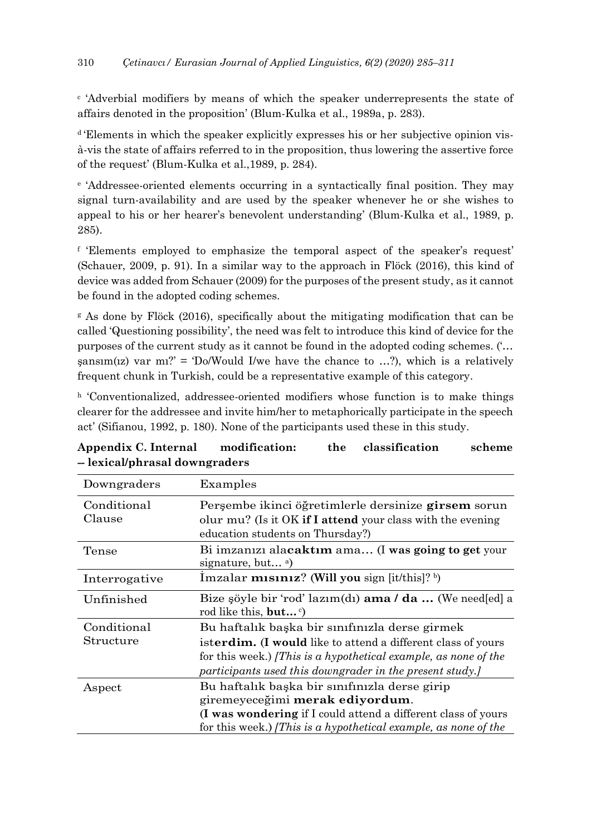c 'Adverbial modifiers by means of which the speaker underrepresents the state of affairs denoted in the proposition' (Blum-Kulka et al., 1989a, p. 283).

<sup>d</sup> Elements in which the speaker explicitly expresses his or her subjective opinion visà-vis the state of affairs referred to in the proposition, thus lowering the assertive force of the request' (Blum-Kulka et al.,1989, p. 284).

e 'Addressee-oriented elements occurring in a syntactically final position. They may signal turn-availability and are used by the speaker whenever he or she wishes to appeal to his or her hearer's benevolent understanding' (Blum-Kulka et al., 1989, p. 285).

f 'Elements employed to emphasize the temporal aspect of the speaker's request' (Schauer, 2009, p. 91). In a similar way to the approach in Flöck (2016), this kind of device was added from Schauer (2009) for the purposes of the present study, as it cannot be found in the adopted coding schemes.

<sup>g</sup> As done by Flöck (2016), specifically about the mitigating modification that can be called 'Questioning possibility', the need was felt to introduce this kind of device for the purposes of the current study as it cannot be found in the adopted coding schemes. ('…  $\text{gamma}(iz)$  var m<sub>1</sub>?' = 'Do/Would I/we have the chance to ...?), which is a relatively frequent chunk in Turkish, could be a representative example of this category.

 $h$  'Conventionalized, addressee-oriented modifiers whose function is to make things clearer for the addressee and invite him/her to metaphorically participate in the speech act' (Sifianou, 1992, p. 180). None of the participants used these in this study.

| Downgraders           | Examples                                                                                                             |
|-----------------------|----------------------------------------------------------------------------------------------------------------------|
| Conditional<br>Clause | Persembe ikinci öğretimlerle dersinize girsem sorun<br>olur $mu$ ? (Is it OK if I attend your class with the evening |
|                       | education students on Thursday?)                                                                                     |
| Tense                 | Bi imzanizi alacaktim ama (I was going to get your<br>signature, but $a)$                                            |
| Interrogative         | Imzalar <b>misiniz</b> ? (Will you sign [it/this]? b)                                                                |
| Unfinished            | Bize şöyle bir 'rod' lazım(dı) <b>ama / da </b> (We need[ed] a<br>rod like this, but $\circ$ )                       |
| Conditional           | Bu haftalık başka bir sınıfınızla derse girmek                                                                       |
| Structure             | isterdim. (I would like to attend a different class of yours                                                         |
|                       | for this week.) [This is a hypothetical example, as none of the                                                      |
|                       | participants used this downgrader in the present study.                                                              |
| Aspect                | Bu haftalık başka bir sınıfınızla derse girip                                                                        |
|                       | giremeyeceğimi <b>merak ediyordum</b> .                                                                              |
|                       | (I was wondering if I could attend a different class of yours                                                        |
|                       | for this week.) [This is a hypothetical example, as none of the                                                      |

| Appendix C. Internal          | modification: | the classification | scheme |
|-------------------------------|---------------|--------------------|--------|
| – lexical/phrasal downgraders |               |                    |        |